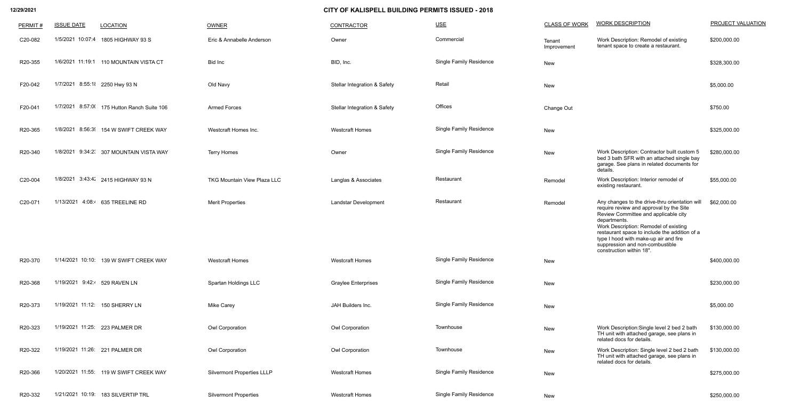| PERMIT# | <b>ISSUE DATE</b>              | <b>LOCATION</b>                             | <b>OWNER</b>                       | <b>CONTRACTOR</b>                       | $USE$                          | <b>CLASS OF WORK</b>  | <b>WORK DESCRIPTION</b>                                                                                                                                                                                                                                                                                                                             | PROJECT VALUATION |
|---------|--------------------------------|---------------------------------------------|------------------------------------|-----------------------------------------|--------------------------------|-----------------------|-----------------------------------------------------------------------------------------------------------------------------------------------------------------------------------------------------------------------------------------------------------------------------------------------------------------------------------------------------|-------------------|
| C20-082 |                                | 1/5/2021 10:07:4 1805 HIGHWAY 93 S          | Eric & Annabelle Anderson          | Owner                                   | Commercial                     | Tenant<br>Improvement | Work Description: Remodel of existing<br>tenant space to create a restaurant.                                                                                                                                                                                                                                                                       | \$200,000.00      |
| R20-355 |                                | 1/6/2021 11:19:1 110 MOUNTAIN VISTA CT      | Bid Inc                            | BID, Inc.                               | <b>Single Family Residence</b> | New                   |                                                                                                                                                                                                                                                                                                                                                     | \$328,300.00      |
| F20-042 | 1/7/2021 8:55:11 2250 Hwy 93 N |                                             | Old Navy                           | <b>Stellar Integration &amp; Safety</b> | Retail                         | New                   |                                                                                                                                                                                                                                                                                                                                                     | \$5,000.00        |
| F20-041 |                                | 1/7/2021 8:57:0( 175 Hutton Ranch Suite 106 | <b>Armed Forces</b>                | <b>Stellar Integration &amp; Safety</b> | Offices                        | Change Out            |                                                                                                                                                                                                                                                                                                                                                     | \$750.00          |
| R20-365 |                                | 1/8/2021 8:56:3  154 W SWIFT CREEK WAY      | Westcraft Homes Inc.               | <b>Westcraft Homes</b>                  | <b>Single Family Residence</b> | New                   |                                                                                                                                                                                                                                                                                                                                                     | \$325,000.00      |
| R20-340 |                                | 1/8/2021 9:34:2( 307 MOUNTAIN VISTA WAY     | <b>Terry Homes</b>                 | Owner                                   | <b>Single Family Residence</b> | New                   | Work Description: Contractor built custom 5<br>bed 3 bath SFR with an attached single bay<br>garage. See plans in related documents for<br>details.                                                                                                                                                                                                 | \$280,000.00      |
| C20-004 |                                | 1/8/2021 3:43:42 2415 HIGHWAY 93 N          | <b>TKG Mountain View Plaza LLC</b> | Langlas & Associates                    | Restaurant                     | Remodel               | Work Description: Interior remodel of<br>existing restaurant.                                                                                                                                                                                                                                                                                       | \$55,000.00       |
| C20-071 |                                | 1/13/2021 4:08:4 635 TREELINE RD            | <b>Merit Properties</b>            | <b>Landstar Development</b>             | Restaurant                     | Remodel               | Any changes to the drive-thru orientation will<br>require review and approval by the Site<br>Review Committee and applicable city<br>departments.<br>Work Description: Remodel of existing<br>restaurant space to include the addition of a<br>type I hood with make-up air and fire<br>suppression and non-combustible<br>construction within 18". | \$62,000.00       |
| R20-370 |                                | 1/14/2021 10:10: 139 W SWIFT CREEK WAY      | <b>Westcraft Homes</b>             | <b>Westcraft Homes</b>                  | <b>Single Family Residence</b> | New                   |                                                                                                                                                                                                                                                                                                                                                     | \$400,000.00      |
| R20-368 | 1/19/2021 9:42:4 529 RAVEN LN  |                                             | Spartan Holdings LLC               | <b>Graylee Enterprises</b>              | <b>Single Family Residence</b> | New                   |                                                                                                                                                                                                                                                                                                                                                     | \$230,000.00      |
| R20-373 |                                | 1/19/2021 11:12: 150 SHERRY LN              | Mike Carey                         | JAH Builders Inc.                       | <b>Single Family Residence</b> | New                   |                                                                                                                                                                                                                                                                                                                                                     | \$5,000.00        |
| R20-323 |                                | 1/19/2021 11:25: 223 PALMER DR              | Owl Corporation                    | Owl Corporation                         | Townhouse                      | New                   | Work Description: Single level 2 bed 2 bath<br>TH unit with attached garage, see plans in<br>related docs for details.                                                                                                                                                                                                                              | \$130,000.00      |
| R20-322 |                                | 1/19/2021 11:26: 221 PALMER DR              | Owl Corporation                    | Owl Corporation                         | Townhouse                      | New                   | Work Description: Single level 2 bed 2 bath<br>TH unit with attached garage, see plans in<br>related docs for details.                                                                                                                                                                                                                              | \$130,000.00      |
| R20-366 |                                | 1/20/2021 11:55: 119 W SWIFT CREEK WAY      | <b>Silvermont Properties LLLP</b>  | <b>Westcraft Homes</b>                  | <b>Single Family Residence</b> | New                   |                                                                                                                                                                                                                                                                                                                                                     | \$275,000.00      |
| R20-332 |                                | 1/21/2021 10:19: 183 SILVERTIP TRL          | <b>Silvermont Properties</b>       | <b>Westcraft Homes</b>                  | Single Family Residence        | New                   |                                                                                                                                                                                                                                                                                                                                                     | \$250,000.00      |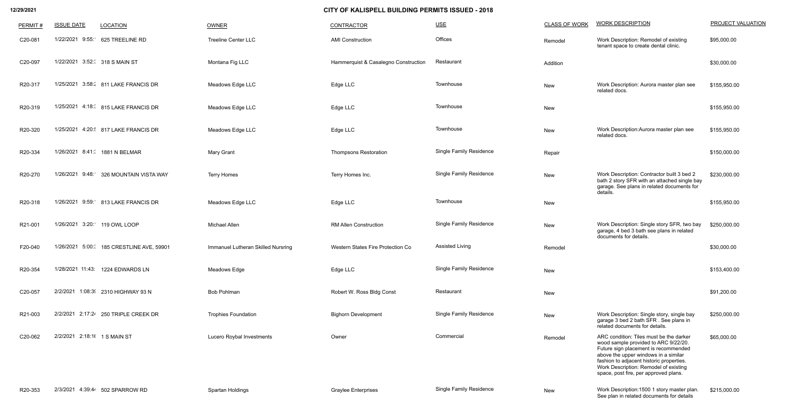| PERMIT# | <b>ISSUE DATE</b>             | <b>LOCATION</b>                      | OWNER                              | <b>CONTRACTOR</b>                    | $USE$                          | <b>CLASS OF WORK</b> | <b>WORK DESCRIPTION</b>                                                                                                                                                                                                                                                                       | PROJECT VALUATION |
|---------|-------------------------------|--------------------------------------|------------------------------------|--------------------------------------|--------------------------------|----------------------|-----------------------------------------------------------------------------------------------------------------------------------------------------------------------------------------------------------------------------------------------------------------------------------------------|-------------------|
| C20-081 |                               | 1/22/2021 9:55: 625 TREELINE RD      | <b>Treeline Center LLC</b>         | <b>AMI Construction</b>              | Offices                        | Remodel              | Work Description: Remodel of existing<br>tenant space to create dental clinic.                                                                                                                                                                                                                | \$95,000.00       |
| C20-097 | 1/22/2021 3:52: 318 S MAIN ST |                                      | Montana Fig LLC                    | Hammerquist & Casalegno Construction | Restaurant                     | Addition             |                                                                                                                                                                                                                                                                                               | \$30,000.00       |
| R20-317 |                               | 1/25/2021 3:58: 811 LAKE FRANCIS DR  | Meadows Edge LLC                   | Edge LLC                             | Townhouse                      | New                  | Work Description: Aurora master plan see<br>related docs.                                                                                                                                                                                                                                     | \$155,950.00      |
| R20-319 |                               | 1/25/2021 4:18: 815 LAKE FRANCIS DR  | Meadows Edge LLC                   | Edge LLC                             | Townhouse                      | New                  |                                                                                                                                                                                                                                                                                               | \$155,950.00      |
| R20-320 |                               | 1/25/2021 4:20: 817 LAKE FRANCIS DR  | Meadows Edge LLC                   | Edge LLC                             | Townhouse                      | New                  | Work Description: Aurora master plan see<br>related docs.                                                                                                                                                                                                                                     | \$155,950.00      |
| R20-334 |                               | 1/26/2021 8:41: 1881 N BELMAR        | <b>Mary Grant</b>                  | <b>Thompsons Restoration</b>         | <b>Single Family Residence</b> | Repair               |                                                                                                                                                                                                                                                                                               | \$150,000.00      |
| R20-270 | 1/26/2021 9:48:               | 326 MOUNTAIN VISTA WAY               | <b>Terry Homes</b>                 | Terry Homes Inc.                     | <b>Single Family Residence</b> | New                  | Work Description: Contractor built 3 bed 2<br>bath 2 story SFR with an attached single bay<br>garage. See plans in related documents for<br>details.                                                                                                                                          | \$230,000.00      |
| R20-318 |                               | 1/26/2021 9:59: 813 LAKE FRANCIS DR  | Meadows Edge LLC                   | Edge LLC                             | Townhouse                      | New                  |                                                                                                                                                                                                                                                                                               | \$155,950.00      |
| R21-001 | 1/26/2021 3:20: 119 OWL LOOP  |                                      | Michael Allen                      | <b>RM Allen Construction</b>         | <b>Single Family Residence</b> | New                  | Work Description: Single story SFR, two bay<br>garage, 4 bed 3 bath see plans in related<br>documents for details.                                                                                                                                                                            | \$250,000.00      |
| F20-040 | 1/26/2021 5:00:               | 185 CRESTLINE AVE, 59901             | Immanuel Lutheran Skilled Nursring | Western States Fire Protection Co    | <b>Assisted Living</b>         | Remodel              |                                                                                                                                                                                                                                                                                               | \$30,000.00       |
| R20-354 |                               | 1/28/2021 11:43: 1224 EDWARDS LN     | Meadows Edge                       | Edge LLC                             | <b>Single Family Residence</b> | New                  |                                                                                                                                                                                                                                                                                               | \$153,400.00      |
| C20-057 |                               | 2/2/2021 1:08:3 2310 HIGHWAY 93 N    | <b>Bob Pohlman</b>                 | Robert W. Ross Bldg Const            | Restaurant                     | New                  |                                                                                                                                                                                                                                                                                               | \$91,200.00       |
| R21-003 |                               | 2/2/2021 2:17:24 250 TRIPLE CREEK DR | <b>Trophies Foundation</b>         | <b>Bighorn Development</b>           | <b>Single Family Residence</b> | New                  | Work Description: Single story, single bay<br>garage 3 bed 2 bath SFR. See plans in<br>related documents for details.                                                                                                                                                                         | \$250,000.00      |
| C20-062 | 2/2/2021 2:18:16 1 S MAIN ST  |                                      | Lucero Roybal Investments          | Owner                                | Commercial                     | Remodel              | ARC condition: Tiles must be the darker<br>wood sample provided to ARC 9/22/20.<br>Future sign placement is recommended<br>above the upper windows in a similar<br>fashion to adjacent historic properties.<br>Work Description: Remodel of existing<br>space, post fire, per approved plans. | \$65,000.00       |
| R20-353 |                               | 2/3/2021 4:39:44 502 SPARROW RD      | Spartan Holdings                   | <b>Graylee Enterprises</b>           | <b>Single Family Residence</b> | New                  | Work Description: 1500 1 story master plan.<br>See plan in related documents for details                                                                                                                                                                                                      | \$215,000.00      |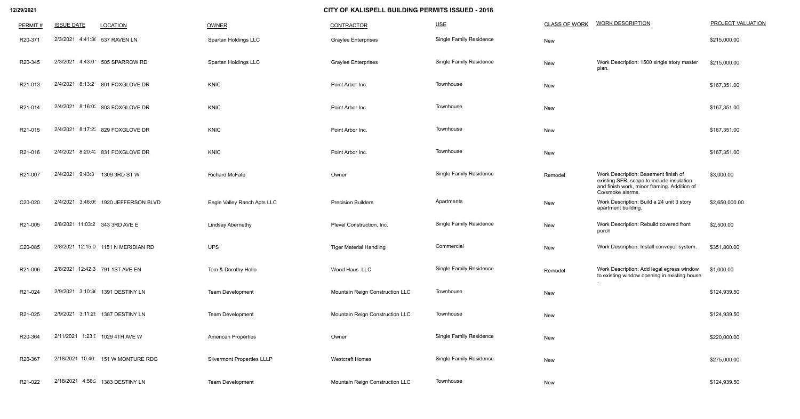| PERMIT# | <b>ISSUE DATE</b>               | <b>LOCATION</b>                      | OWNER                             | <b>CONTRACTOR</b>               | $USE$                          | <b>CLASS OF WORK</b> | <b>WORK DESCRIPTION</b>                                                                                                                              | <b>PROJECT VALUATION</b> |
|---------|---------------------------------|--------------------------------------|-----------------------------------|---------------------------------|--------------------------------|----------------------|------------------------------------------------------------------------------------------------------------------------------------------------------|--------------------------|
| R20-371 | 2/3/2021 4:41:38 537 RAVEN LN   |                                      | Spartan Holdings LLC              | <b>Graylee Enterprises</b>      | <b>Single Family Residence</b> | New                  |                                                                                                                                                      | \$215,000.00             |
| R20-345 |                                 | 2/3/2021 4:43:0 505 SPARROW RD       | Spartan Holdings LLC              | <b>Graylee Enterprises</b>      | Single Family Residence        | New                  | Work Description: 1500 single story master<br>plan.                                                                                                  | \$215,000.00             |
| R21-013 |                                 | 2/4/2021 8:13:2 801 FOXGLOVE DR      | <b>KNIC</b>                       | Point Arbor Inc.                | Townhouse                      | New                  |                                                                                                                                                      | \$167,351.00             |
| R21-014 |                                 | 2/4/2021 8:16:0/ 803 FOXGLOVE DR     | <b>KNIC</b>                       | Point Arbor Inc.                | Townhouse                      | New                  |                                                                                                                                                      | \$167,351.00             |
| R21-015 |                                 | 2/4/2021 8:17:2: 829 FOXGLOVE DR     | <b>KNIC</b>                       | Point Arbor Inc.                | Townhouse                      | New                  |                                                                                                                                                      | \$167,351.00             |
| R21-016 |                                 | 2/4/2021 8:20:4' 831 FOXGLOVE DR     | <b>KNIC</b>                       | Point Arbor Inc.                | Townhouse                      | New                  |                                                                                                                                                      | \$167,351.00             |
| R21-007 |                                 | 2/4/2021 9:43:3 1309 3RD ST W        | <b>Richard McFate</b>             | Owner                           | <b>Single Family Residence</b> | Remodel              | Work Description: Basement finish of<br>existing SFR, scope to include insulation<br>and finish work, minor framing. Addition of<br>Co/smoke alarms. | \$3,000.00               |
| C20-020 |                                 | 2/4/2021 3:46:0  1920 JEFFERSON BLVD | Eagle Valley Ranch Apts LLC       | <b>Precision Builders</b>       | Apartments                     | New                  | Work Description: Build a 24 unit 3 story<br>apartment building.                                                                                     | \$2,650,000.00           |
| R21-005 | 2/8/2021 11:03:2 343 3RD AVE E  |                                      | <b>Lindsay Abernethy</b>          | Plevel Construction, Inc.       | <b>Single Family Residence</b> | New                  | Work Description: Rebuild covered front<br>porch                                                                                                     | \$2,500.00               |
| C20-085 |                                 | 2/8/2021 12:15:0 1151 N MERIDIAN RD  | <b>UPS</b>                        | <b>Tiger Material Handling</b>  | Commercial                     | New                  | Work Description: Install conveyor system.                                                                                                           | \$351,800.00             |
| R21-006 | 2/8/2021 12:42:3 791 1ST AVE EN |                                      | Tom & Dorothy Hollo               | Wood Haus LLC                   | <b>Single Family Residence</b> | Remodel              | Work Description: Add legal egress window<br>to existing window opening in existing house                                                            | \$1,000.00               |
| R21-024 |                                 | 2/9/2021 3:10:3( 1391 DESTINY LN     | <b>Team Development</b>           | Mountain Reign Construction LLC | Townhouse                      | New                  |                                                                                                                                                      | \$124,939.50             |
| R21-025 |                                 | 2/9/2021 3:11:26 1387 DESTINY LN     | <b>Team Development</b>           | Mountain Reign Construction LLC | Townhouse                      | New                  |                                                                                                                                                      | \$124,939.50             |
| R20-364 |                                 | 2/11/2021 1:23:( 1029 4TH AVE W      | <b>American Properties</b>        | Owner                           | <b>Single Family Residence</b> | New                  |                                                                                                                                                      | \$220,000.00             |
| R20-367 |                                 | 2/18/2021 10:40: 151 W MONTURE RDG   | <b>Silvermont Properties LLLP</b> | <b>Westcraft Homes</b>          | <b>Single Family Residence</b> | New                  |                                                                                                                                                      | \$275,000.00             |
| R21-022 |                                 | 2/18/2021 4:58: 1383 DESTINY LN      | <b>Team Development</b>           | Mountain Reign Construction LLC | Townhouse                      | New                  |                                                                                                                                                      | \$124,939.50             |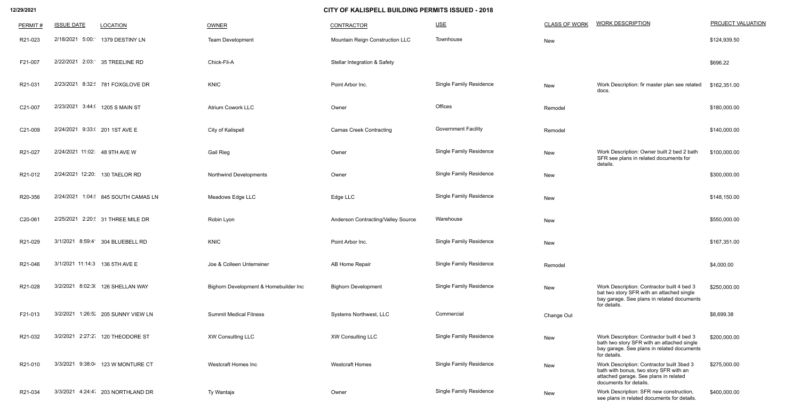| PERMIT# | <b>ISSUE DATE</b>               | <b>LOCATION</b>                    | OWNER                                 | <b>CONTRACTOR</b>                       | USE                            | <b>CLASS OF WORK</b> | <b>WORK DESCRIPTION</b>                                                                                                                                | <b>PROJECT VALUATION</b> |
|---------|---------------------------------|------------------------------------|---------------------------------------|-----------------------------------------|--------------------------------|----------------------|--------------------------------------------------------------------------------------------------------------------------------------------------------|--------------------------|
| R21-023 | 5:00:<br>2/18/2021              | 1379 DESTINY LN                    | <b>Team Development</b>               | Mountain Reign Construction LLC         | Townhouse                      | New                  |                                                                                                                                                        | \$124,939.50             |
| F21-007 |                                 | 2/22/2021 2:03: 35 TREELINE RD     | Chick-Fil-A                           | <b>Stellar Integration &amp; Safety</b> |                                |                      |                                                                                                                                                        | \$696.22                 |
| R21-031 |                                 | 2/23/2021 8:32: 781 FOXGLOVE DR    | <b>KNIC</b>                           | Point Arbor Inc.                        | <b>Single Family Residence</b> | New                  | Work Description: fir master plan see related<br>docs.                                                                                                 | \$162,351.00             |
| C21-007 | 2/23/2021 3:44:( 1205 S MAIN ST |                                    | <b>Atrium Cowork LLC</b>              | Owner                                   | Offices                        | Remodel              |                                                                                                                                                        | \$180,000.00             |
| C21-009 | 2/24/2021 9:33:( 201 1ST AVE E  |                                    | <b>City of Kalispell</b>              | <b>Camas Creek Contracting</b>          | <b>Government Facility</b>     | Remodel              |                                                                                                                                                        | \$140,000.00             |
| R21-027 | 2/24/2021 11:02: 48 9TH AVE W   |                                    | <b>Gail Rieg</b>                      | Owner                                   | <b>Single Family Residence</b> | New                  | Work Description: Owner built 2 bed 2 bath<br>SFR see plans in related documents for<br>details.                                                       | \$100,000.00             |
| R21-012 | 2/24/2021 12:20: 130 TAELOR RD  |                                    | <b>Northwind Developments</b>         | Owner                                   | <b>Single Family Residence</b> | New                  |                                                                                                                                                        | \$300,000.00             |
| R20-356 |                                 | 2/24/2021 1:04: 845 SOUTH CAMAS LN | Meadows Edge LLC                      | Edge LLC                                | <b>Single Family Residence</b> | New                  |                                                                                                                                                        | \$148,150.00             |
| C20-061 |                                 | 2/25/2021 2:20: 31 THREE MILE DR   | Robin Lyon                            | Anderson Contracting/Valley Source      | Warehouse                      | New                  |                                                                                                                                                        | \$550,000.00             |
| R21-029 |                                 | 3/1/2021 8:59:4 304 BLUEBELL RD    | <b>KNIC</b>                           | Point Arbor Inc.                        | <b>Single Family Residence</b> | New                  |                                                                                                                                                        | \$167,351.00             |
| R21-046 | 3/1/2021 11:14:3 136 5TH AVE E  |                                    | Joe & Colleen Unterreiner             | AB Home Repair                          | <b>Single Family Residence</b> | Remodel              |                                                                                                                                                        | \$4,000.00               |
| R21-028 |                                 | 3/2/2021 8:02:3( 126 SHELLAN WAY   | Bighorn Development & Homebuilder Inc | <b>Bighorn Development</b>              | <b>Single Family Residence</b> | New                  | Work Description: Contractor built 4 bed 3<br>bat two story SFR with an attached single<br>bay garage. See plans in related documents<br>for details.  | \$250,000.00             |
| F21-013 |                                 | 3/2/2021 1:26:5' 205 SUNNY VIEW LN | <b>Summit Medical Fitness</b>         | Systems Northwest, LLC                  | Commercial                     | Change Out           |                                                                                                                                                        | \$8,699.38               |
| R21-032 |                                 | 3/2/2021 2:27:2 120 THEODORE ST    | <b>XW Consulting LLC</b>              | <b>XW Consulting LLC</b>                | <b>Single Family Residence</b> | New                  | Work Description: Contractor built 4 bed 3<br>bath two story SFR with an attached single<br>bay garage. See plans in related documents<br>for details. | \$200,000.00             |
| R21-010 |                                 | 3/3/2021 9:38:04 123 W MONTURE CT  | <b>Westcraft Homes Inc</b>            | <b>Westcraft Homes</b>                  | <b>Single Family Residence</b> | New                  | Work Description: Contractor built 3bed 3<br>bath with bonus, two story SFR with an<br>attached garage. See plans in related<br>documents for details. | \$275,000.00             |
| R21-034 |                                 | 3/3/2021 4:24:4 203 NORTHLAND DR   | Ty Wantaja                            | Owner                                   | <b>Single Family Residence</b> | New                  | Work Description: SFR new construction,<br>see plans in related documents for details.                                                                 | \$400,000.00             |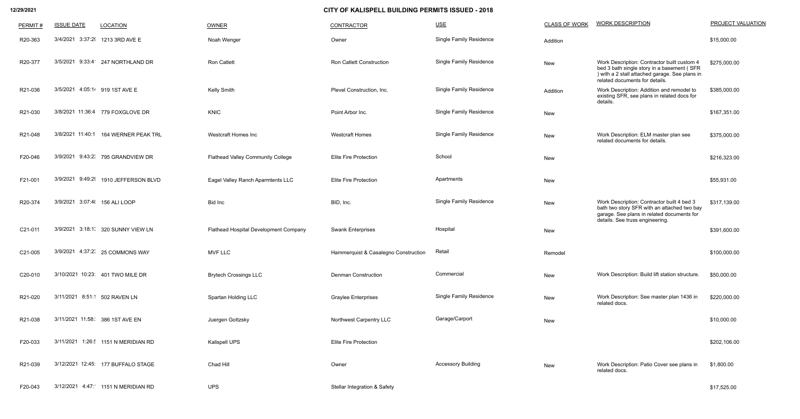| PERMIT# | <b>ISSUE DATE</b>               | <b>LOCATION</b>                    | <b>OWNER</b>                             | CONTRACTOR                              | $USE$                          | <b>CLASS OF WORK</b> | <b>WORK DESCRIPTION</b>                                                                                                                                                       | PROJECT VALUATION |
|---------|---------------------------------|------------------------------------|------------------------------------------|-----------------------------------------|--------------------------------|----------------------|-------------------------------------------------------------------------------------------------------------------------------------------------------------------------------|-------------------|
| R20-363 |                                 | 3/4/2021 3:37:29 1213 3RD AVE E    | Noah Wenger                              | Owner                                   | <b>Single Family Residence</b> | Addition             |                                                                                                                                                                               | \$15,000.00       |
| R20-377 |                                 | 3/5/2021 9:33:4 247 NORTHLAND DR   | <b>Ron Catlett</b>                       | <b>Ron Catlett Construction</b>         | <b>Single Family Residence</b> | New                  | Work Description: Contractor built custom 4<br>bed 3 bath single story in a basement (SFR<br>) with a 2 stall attached garage. See plans in<br>related documents for details. | \$275,000.00      |
| R21-036 | 3/5/2021                        | 4:05:14 919 1ST AVE E              | Kelly Smith                              | Plevel Construction, Inc.               | <b>Single Family Residence</b> | Addition             | Work Description: Addition and remodel to<br>existing SFR, see plans in related docs for<br>details.                                                                          | \$385,000.00      |
| R21-030 |                                 | 3/8/2021 11:36:4 779 FOXGLOVE DR   | <b>KNIC</b>                              | Point Arbor Inc.                        | <b>Single Family Residence</b> | New                  |                                                                                                                                                                               | \$167,351.00      |
| R21-048 | 3/8/2021 11:40:1                | 164 WERNER PEAK TRL                | Westcraft Homes Inc                      | <b>Westcraft Homes</b>                  | <b>Single Family Residence</b> | New                  | Work Description: ELM master plan see<br>related documents for details.                                                                                                       | \$375,000.00      |
| F20-046 |                                 | 3/9/2021 9:43:2( 795 GRANDVIEW DR  | <b>Flathead Valley Community College</b> | <b>Elite Fire Protection</b>            | School                         | New                  |                                                                                                                                                                               | \$216,323.00      |
| F21-001 | 3/9/2021 9:49:29                | 1910 JEFFERSON BLVD                | Eagel Valley Ranch Aparmtents LLC        | <b>Elite Fire Protection</b>            | Apartments                     | New                  |                                                                                                                                                                               | \$55,931.00       |
| R20-374 | 3/9/2021 3:07:4( 156 ALI LOOP   |                                    | Bid Inc                                  | BID, Inc.                               | <b>Single Family Residence</b> | New                  | Work Description: Contractor built 4 bed 3<br>bath two story SFR with an attached two bay<br>garage. See plans in related documents for                                       | \$317,139.00      |
| C21-011 |                                 | 3/9/2021 3:18:1. 320 SUNNY VIEW LN | Flathead Hospital Development Company    | <b>Swank Enterprises</b>                | Hospital                       | New                  | details. See truss engineering.                                                                                                                                               | \$391,600.00      |
| C21-005 |                                 | 3/9/2021 4:37:2( 25 COMMONS WAY    | <b>MVF LLC</b>                           | Hammerquist & Casalegno Construction    | Retail                         | Remodel              |                                                                                                                                                                               | \$100,000.00      |
| C20-010 |                                 | 3/10/2021 10:23: 401 TWO MILE DR   | <b>Brytech Crossings LLC</b>             | <b>Denman Construction</b>              | Commercial                     | New                  | Work Description: Build lift station structure.                                                                                                                               | \$50,000.00       |
| R21-020 | 3/11/2021 8:51:1 502 RAVEN LN   |                                    | Spartan Holding LLC                      | <b>Graylee Enterprises</b>              | <b>Single Family Residence</b> | New                  | Work Description: See master plan 1436 in<br>related docs.                                                                                                                    | \$220,000.00      |
| R21-038 | 3/11/2021 11:58: 386 1ST AVE EN |                                    | Juergen Gottzsky                         | Northwest Carpentry LLC                 | Garage/Carport                 | New                  |                                                                                                                                                                               | \$10,000.00       |
| F20-033 |                                 | 3/11/2021 1:26: 1151 N MERIDIAN RD | Kalispell UPS                            | <b>Elite Fire Protection</b>            |                                |                      |                                                                                                                                                                               | \$202,106.00      |
| R21-039 |                                 | 3/12/2021 12:45: 177 BUFFALO STAGE | Chad Hill                                | Owner                                   | <b>Accessory Building</b>      | New                  | Work Description: Patio Cover see plans in<br>related docs.                                                                                                                   | \$1,800.00        |
| F20-043 |                                 | 3/12/2021 4:47: 1151 N MERIDIAN RD | <b>UPS</b>                               | <b>Stellar Integration &amp; Safety</b> |                                |                      |                                                                                                                                                                               | \$17,525.00       |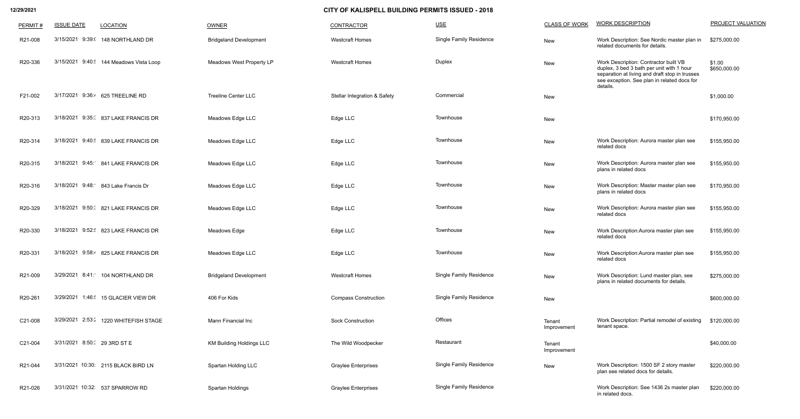| PERMIT# | <b>ISSUE DATE</b>           | <b>LOCATION</b>                        | OWNER                           | <b>CONTRACTOR</b>                       | $USE$                          | <b>CLASS OF WORK</b>  | <b>WORK DESCRIPTION</b>                                                                                                                                                                         | PROJECT VALUATION      |
|---------|-----------------------------|----------------------------------------|---------------------------------|-----------------------------------------|--------------------------------|-----------------------|-------------------------------------------------------------------------------------------------------------------------------------------------------------------------------------------------|------------------------|
| R21-008 | 3/15/2021 9:39:0            | 148 NORTHLAND DR                       | <b>Bridgeland Development</b>   | <b>Westcraft Homes</b>                  | <b>Single Family Residence</b> | New                   | Work Description: See Nordic master plan in<br>related documents for details.                                                                                                                   | \$275,000.00           |
| R20-336 |                             | 3/15/2021 9:40: 144 Meadows Vista Loop | Meadows West Property LP        | <b>Westcraft Homes</b>                  | <b>Duplex</b>                  | New                   | Work Description: Contractor built VB<br>duplex, 3 bed 3 bath per unit with 1 hour<br>separation at living and draft stop in trusses<br>see exception. See plan in related docs for<br>details. | \$1.00<br>\$650,000.00 |
| F21-002 |                             | 3/17/2021 9:36:4 625 TREELINE RD       | <b>Treeline Center LLC</b>      | <b>Stellar Integration &amp; Safety</b> | Commercial                     | New                   |                                                                                                                                                                                                 | \$1,000.00             |
| R20-313 |                             | 3/18/2021 9:35: 837 LAKE FRANCIS DR    | Meadows Edge LLC                | Edge LLC                                | Townhouse                      | New                   |                                                                                                                                                                                                 | \$170,950.00           |
| R20-314 |                             | 3/18/2021 9:40: 839 LAKE FRANCIS DR    | Meadows Edge LLC                | Edge LLC                                | Townhouse                      | New                   | Work Description: Aurora master plan see<br>related docs                                                                                                                                        | \$155,950.00           |
| R20-315 |                             | 3/18/2021 9:45: 841 LAKE FRANCIS DR    | Meadows Edge LLC                | Edge LLC                                | Townhouse                      | New                   | Work Description: Aurora master plan see<br>plans in related docs                                                                                                                               | \$155,950.00           |
| R20-316 |                             | 3/18/2021 9:48: 843 Lake Francis Dr    | Meadows Edge LLC                | Edge LLC                                | Townhouse                      | New                   | Work Description: Master master plan see<br>plans in related docs                                                                                                                               | \$170,950.00           |
| R20-329 |                             | 3/18/2021 9:50: 821 LAKE FRANCIS DR    | Meadows Edge LLC                | Edge LLC                                | Townhouse                      | New                   | Work Description: Aurora master plan see<br>related docs                                                                                                                                        | \$155,950.00           |
| R20-330 | 3/18/2021 9:52:             | 823 LAKE FRANCIS DR                    | Meadows Edge                    | Edge LLC                                | Townhouse                      | New                   | Work Description: Aurora master plan see<br>related docs                                                                                                                                        | \$155,950.00           |
| R20-331 |                             | 3/18/2021 9:58:4 825 LAKE FRANCIS DR   | Meadows Edge LLC                | Edge LLC                                | Townhouse                      | New                   | Work Description: Aurora master plan see<br>related docs                                                                                                                                        | \$155,950.00           |
| R21-009 |                             | 3/29/2021 8:41: 104 NORTHLAND DR       | <b>Bridgeland Development</b>   | <b>Westcraft Homes</b>                  | <b>Single Family Residence</b> | New                   | Work Description: Lund master plan, see<br>plans in related documents for details.                                                                                                              | \$275,000.00           |
| R20-261 |                             | 3/29/2021 1:46: 15 GLACIER VIEW DR     | 406 For Kids                    | <b>Compass Construction</b>             | <b>Single Family Residence</b> | <b>New</b>            |                                                                                                                                                                                                 | \$600,000.00           |
| C21-008 |                             | 3/29/2021 2:53: 1220 WHITEFISH STAGE   | Mann Financial Inc              | <b>Sock Construction</b>                | Offices                        | Tenant<br>Improvement | Work Description: Partial remodel of existing<br>tenant space.                                                                                                                                  | \$120,000.00           |
| C21-004 | 3/31/2021 8:50: 29 3RD ST E |                                        | <b>KM Building Holdings LLC</b> | The Wild Woodpecker                     | Restaurant                     | Tenant<br>Improvement |                                                                                                                                                                                                 | \$40,000.00            |
| R21-044 |                             | 3/31/2021 10:30: 2115 BLACK BIRD LN    | Spartan Holding LLC             | <b>Graylee Enterprises</b>              | <b>Single Family Residence</b> | <b>New</b>            | Work Description: 1500 SF 2 story master<br>plan see related docs for details.                                                                                                                  | \$220,000.00           |
| R21-026 |                             | 3/31/2021 10:32: 537 SPARROW RD        | Spartan Holdings                | <b>Graylee Enterprises</b>              | <b>Single Family Residence</b> |                       | Work Description: See 1436 2s master plan<br>in related docs.                                                                                                                                   | \$220,000.00           |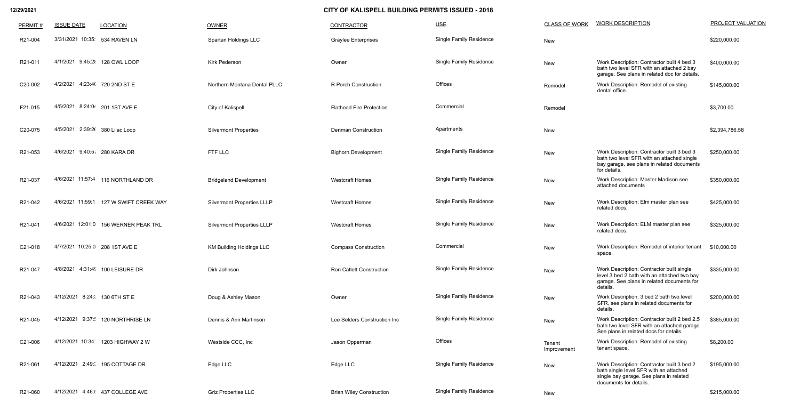| PERMIT# | <b>ISSUE DATE</b>               | <b>LOCATION</b>                        | OWNER                             | <b>CONTRACTOR</b>               | $USE$                          | <b>CLASS OF WORK</b>  | <b>WORK DESCRIPTION</b>                                                                                                                                   | <b>PROJECT VALUATION</b> |
|---------|---------------------------------|----------------------------------------|-----------------------------------|---------------------------------|--------------------------------|-----------------------|-----------------------------------------------------------------------------------------------------------------------------------------------------------|--------------------------|
| R21-004 | 3/31/2021 10:35: 534 RAVEN LN   |                                        | Spartan Holdings LLC              | <b>Graylee Enterprises</b>      | <b>Single Family Residence</b> | New                   |                                                                                                                                                           | \$220,000.00             |
| R21-011 | 4/1/2021 9:45:2 128 OWL LOOP    |                                        | <b>Kirk Pederson</b>              | Owner                           | <b>Single Family Residence</b> | New                   | Work Description: Contractor built 4 bed 3<br>bath two level SFR with an attached 2 bay<br>garage. See plans in related doc for details.                  | \$400,000.00             |
| C20-002 | 4/2/2021 4:23:4( 720 2ND ST E   |                                        | Northern Montana Dental PLLC      | R Porch Construction            | Offices                        | Remodel               | Work Description: Remodel of existing<br>dental office.                                                                                                   | \$145,000.00             |
| F21-015 | 4/5/2021 8:24:04 201 1ST AVE E  |                                        | City of Kalispell                 | <b>Flathead Fire Protection</b> | Commercial                     | Remodel               |                                                                                                                                                           | \$3,700.00               |
| C20-075 | 4/5/2021 2:39:2( 380 Lilac Loop |                                        | <b>Silvermont Properties</b>      | <b>Denman Construction</b>      | Apartments                     | New                   |                                                                                                                                                           | \$2,394,786.58           |
| R21-053 | 4/6/2021 9:40:5 280 KARA DR     |                                        | FTF LLC                           | <b>Bighorn Development</b>      | <b>Single Family Residence</b> | New                   | Work Description: Contractor built 3 bed 3<br>bath two level SFR with an attached single<br>bay garage, see plans in related documents<br>for details.    | \$250,000.00             |
| R21-037 |                                 | 4/6/2021 11:57:4 116 NORTHLAND DR      | <b>Bridgeland Development</b>     | <b>Westcraft Homes</b>          | <b>Single Family Residence</b> | New                   | Work Description: Master Madison see<br>attached documents                                                                                                | \$350,000.00             |
| R21-042 |                                 | 4/6/2021 11:59:1 127 W SWIFT CREEK WAY | <b>Silvermont Properties LLLP</b> | <b>Westcraft Homes</b>          | <b>Single Family Residence</b> | New                   | Work Description: Elm master plan see<br>related docs.                                                                                                    | \$425,000.00             |
| R21-041 |                                 | 4/6/2021 12:01:0 156 WERNER PEAK TRL   | <b>Silvermont Properties LLLP</b> | <b>Westcraft Homes</b>          | <b>Single Family Residence</b> | New                   | Work Description: ELM master plan see<br>related docs.                                                                                                    | \$325,000.00             |
| C21-018 | 4/7/2021 10:25:0 208 1ST AVE E  |                                        | <b>KM Building Holdings LLC</b>   | <b>Compass Construction</b>     | Commercial                     | New                   | Work Description: Remodel of interior tenant<br>space.                                                                                                    | \$10,000.00              |
| R21-047 |                                 | 4/8/2021 4:31:4 100 LEISURE DR         | Dirk Johnson                      | <b>Ron Catlett Construction</b> | <b>Single Family Residence</b> | New                   | Work Description: Contractor built single<br>level 3 bed 2 bath with an attached two bay<br>garage. See plans in related documents for<br>details.        | \$335,000.00             |
| R21-043 | 4/12/2021 8:24: 130 6TH ST E    |                                        | Doug & Ashley Mason               | Owner                           | <b>Single Family Residence</b> | New                   | Work Description: 3 bed 2 bath two level<br>SFR, see plans in related documents for<br>details.                                                           | \$200,000.00             |
| R21-045 |                                 | 4/12/2021 9:37: 120 NORTHRISE LN       | Dennis & Ann Martinson            | Lee Selders Construction Inc    | <b>Single Family Residence</b> | New                   | Work Description: Contractor built 2 bed 2.5<br>bath two level SFR with an attached garage.<br>See plans in related docs for details.                     | \$385,000.00             |
| C21-006 |                                 | 4/12/2021 10:34: 1203 HIGHWAY 2 W      | Westside CCC, Inc                 | Jason Opperman                  | Offices                        | Tenant<br>Improvement | Work Description: Remodel of existing<br>tenant space.                                                                                                    | \$8,200.00               |
| R21-061 |                                 | 4/12/2021 2:49:( 195 COTTAGE DR        | Edge LLC                          | Edge LLC                        | <b>Single Family Residence</b> | New                   | Work Description: Contractor built 3 bed 2<br>bath single level SFR with an attached<br>single bay garage. See plans in related<br>documents for details. | \$195,000.00             |
| R21-060 |                                 | 4/12/2021 4:46: 437 COLLEGE AVE        | <b>Griz Properties LLC</b>        | <b>Brian Wiley Construction</b> | <b>Single Family Residence</b> | New                   |                                                                                                                                                           | \$215,000.00             |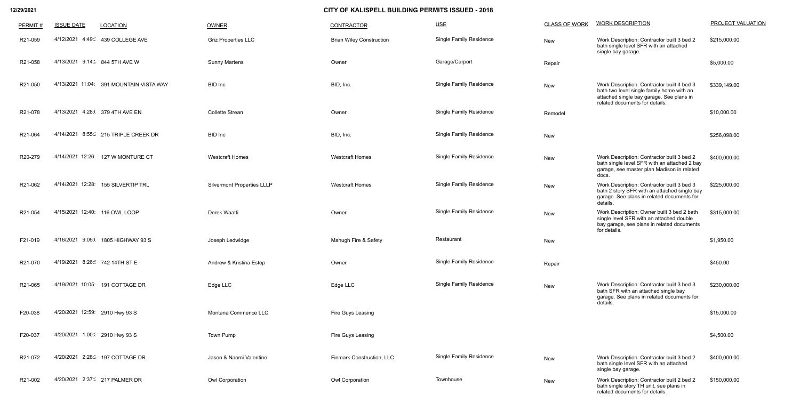| PERMIT# | <b>ISSUE DATE</b><br><b>LOCATION</b>    | <b>OWNER</b>                      | <b>CONTRACTOR</b>                | $USE$                          | <b>CLASS OF WORK</b> | <b>WORK DESCRIPTION</b>                                                                                                                                               | PROJECT VALUATION |
|---------|-----------------------------------------|-----------------------------------|----------------------------------|--------------------------------|----------------------|-----------------------------------------------------------------------------------------------------------------------------------------------------------------------|-------------------|
| R21-059 | 4/12/2021 4:49: 439 COLLEGE AVE         | <b>Griz Properties LLC</b>        | <b>Brian Wiley Construction</b>  | <b>Single Family Residence</b> | New                  | Work Description: Contractor built 3 bed 2<br>bath single level SFR with an attached<br>single bay garage.                                                            | \$215,000.00      |
| R21-058 | 4/13/2021 9:14: 844 5TH AVE W           | <b>Sunny Martens</b>              | Owner                            | Garage/Carport                 | Repair               |                                                                                                                                                                       | \$5,000.00        |
| R21-050 | 4/13/2021 11:04: 391 MOUNTAIN VISTA WAY | <b>BID</b> Inc                    | BID, Inc.                        | <b>Single Family Residence</b> | New                  | Work Description: Contractor built 4 bed 3<br>bath two level single family home with an<br>attached single bay garage. See plans in<br>related documents for details. | \$339,149.00      |
| R21-078 | 4/13/2021 4:28:( 379 4TH AVE EN         | <b>Collette Strean</b>            | Owner                            | <b>Single Family Residence</b> | Remodel              |                                                                                                                                                                       | \$10,000.00       |
| R21-064 | 4/14/2021 8:55: 215 TRIPLE CREEK DR     | <b>BID</b> Inc                    | BID, Inc.                        | <b>Single Family Residence</b> | New                  |                                                                                                                                                                       | \$256,098.00      |
| R20-279 | 4/14/2021 12:26: 127 W MONTURE CT       | <b>Westcraft Homes</b>            | <b>Westcraft Homes</b>           | <b>Single Family Residence</b> | New                  | Work Description: Contractor built 3 bed 2<br>bath single level SFR with an attached 2 bay<br>garage, see master plan Madison in related<br>docs.                     | \$400,000.00      |
| R21-062 | 4/14/2021 12:28: 155 SILVERTIP TRL      | <b>Silvermont Properties LLLP</b> | <b>Westcraft Homes</b>           | <b>Single Family Residence</b> | New                  | Work Description: Contractor built 3 bed 3<br>bath 2 story SFR with an attached single bay<br>garage. See plans in related documents for<br>details.                  | \$225,000.00      |
| R21-054 | 4/15/2021 12:40: 116 OWL LOOP           | Derek Waatti                      | Owner                            | Single Family Residence        | New                  | Work Description: Owner built 3 bed 2 bath<br>single level SFR with an attached double<br>bay garage, see plans in related documents<br>for details.                  | \$315,000.00      |
| F21-019 | 4/16/2021 9:05:( 1805 HIGHWAY 93 S      | Joseph Ledwidge                   | Mahugh Fire & Safety             | Restaurant                     | New                  |                                                                                                                                                                       | \$1,950.00        |
| R21-070 | 4/19/2021 8:26: 742 14TH ST E           | Andrew & Kristina Estep           | Owner                            | <b>Single Family Residence</b> | Repair               |                                                                                                                                                                       | \$450.00          |
| R21-065 | 4/19/2021 10:05: 191 COTTAGE DR         | Edge LLC                          | Edge LLC                         | <b>Single Family Residence</b> | New                  | Work Description: Contractor built 3 bed 3<br>bath SFR with an attached single bay<br>garage. See plans in related documents for<br>details.                          | \$230,000.00      |
| F20-038 | 4/20/2021 12:59: 2910 Hwy 93 S          | Montana Commerice LLC             | Fire Guys Leasing                |                                |                      |                                                                                                                                                                       | \$15,000.00       |
| F20-037 | 4/20/2021 1:00: 2910 Hwy 93 S           | <b>Town Pump</b>                  | Fire Guys Leasing                |                                |                      |                                                                                                                                                                       | \$4,500.00        |
| R21-072 | 4/20/2021 2:28: 197 COTTAGE DR          | Jason & Naomi Valentine           | <b>Finmark Construction, LLC</b> | <b>Single Family Residence</b> | New                  | Work Description: Contractor built 3 bed 2<br>bath single level SFR with an attached<br>single bay garage.                                                            | \$400,000.00      |
| R21-002 | 4/20/2021 2:37: 217 PALMER DR           | <b>Owl Corporation</b>            | Owl Corporation                  | Townhouse                      | New                  | Work Description: Contractor built 2 bed 2<br>bath single story TH unit, see plans in<br>related documents for details.                                               | \$150,000.00      |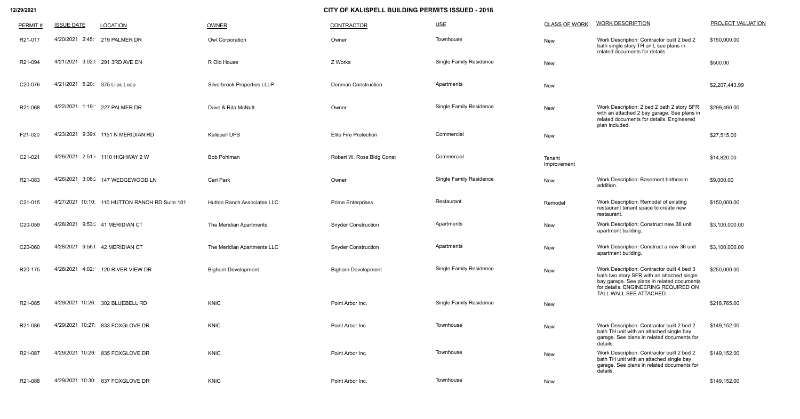| PERMIT# | <b>ISSUE DATE</b>              | <b>LOCATION</b>                                | <b>OWNER</b>                       | CONTRACTOR                   | USE                            | <b>CLASS OF WORK</b>  | <b>WORK DESCRIPTION</b>                                                                                                                                                                                   | <b>PROJECT VALUATION</b> |
|---------|--------------------------------|------------------------------------------------|------------------------------------|------------------------------|--------------------------------|-----------------------|-----------------------------------------------------------------------------------------------------------------------------------------------------------------------------------------------------------|--------------------------|
| R21-017 |                                | 4/20/2021 2:45: 219 PALMER DR                  | <b>Owl Corporation</b>             | Owner                        | Townhouse                      | New                   | Work Description: Contractor built 2 bed 2<br>bath single story TH unit, see plans in<br>related documents for details.                                                                                   | \$150,000.00             |
| R21-094 |                                | 4/21/2021 3:02: 291 3RD AVE EN                 | R Old House                        | Z Works                      | <b>Single Family Residence</b> | New                   |                                                                                                                                                                                                           | \$500.00                 |
| C20-076 | 4/21/2021 5:20: 375 Lilac Loop |                                                | <b>Silverbrook Properties LLLP</b> | <b>Denman Construction</b>   | Apartments                     | New                   |                                                                                                                                                                                                           | \$2,207,443.99           |
| R21-068 |                                | 4/22/2021 1:19: 227 PALMER DR                  | Dave & Rita McNutt                 | Owner                        | <b>Single Family Residence</b> | New                   | Work Description: 2 bed 2 bath 2 story SFR<br>with an attached 2 bay garage. See plans in<br>related documents for details. Engineered<br>plan included.                                                  | \$299,460.00             |
| F21-020 |                                | 4/23/2021 9:39:( 1151 N MERIDIAN RD            | Kalispell UPS                      | <b>Elite Fire Protection</b> | Commercial                     | New                   |                                                                                                                                                                                                           | \$27,515.00              |
| C21-021 |                                | 4/26/2021 2:51:4 1110 HIGHWAY 2 W              | <b>Bob Pohlman</b>                 | Robert W. Ross Bldg Const    | Commercial                     | Tenant<br>Improvement |                                                                                                                                                                                                           | \$14,820.00              |
| R21-083 |                                | 4/26/2021 3:08: 147 WEDGEWOOD LN               | Cari Park                          | Owner                        | <b>Single Family Residence</b> | New                   | Work Description: Basement bathroom<br>addition.                                                                                                                                                          | \$9,000.00               |
| C21-015 |                                | 4/27/2021 10:10: 110 HUTTON RANCH RD Suite 101 | <b>Hutton Ranch Associates LLC</b> | <b>Prime Enterprises</b>     | Restaurant                     | Remodel               | Work Description: Remodel of existing<br>restaurant tenant space to create new<br>restaurant                                                                                                              | \$150,000.00             |
| C20-059 |                                | 4/28/2021 9:53: 41 MERIDIAN CT                 | The Meridian Apartments            | <b>Snyder Construction</b>   | Apartments                     | New                   | Work Description: Construct new 36 unit<br>apartment building.                                                                                                                                            | \$3,100,000.00           |
| C20-060 | 4/28/2021                      | 9:56:(42 MERIDIAN CT                           | The Meridian Apartments LLC        | <b>Snyder Construction</b>   | Apartments                     | New                   | Work Description: Construct a new 36 unit<br>apartment building.                                                                                                                                          | \$3,100,000.00           |
| R20-175 |                                | 4/28/2021 4:02: 120 RIVER VIEW DR              | <b>Bighorn Development</b>         | <b>Bighorn Development</b>   | <b>Single Family Residence</b> | New                   | Work Description: Contractor built 4 bed 3<br>bath two story SFR with an attached single<br>bay garage. See plans in related documents<br>for details. ENGINEERING REQUIRED ON<br>TALL WALL SEE ATTACHED. | \$250,000.00             |
| R21-085 |                                | 4/29/2021 10:26: 302 BLUEBELL RD               | <b>KNIC</b>                        | Point Arbor Inc.             | <b>Single Family Residence</b> | New                   |                                                                                                                                                                                                           | \$218,765.00             |
| R21-086 |                                | 4/29/2021 10:27: 833 FOXGLOVE DR               | <b>KNIC</b>                        | Point Arbor Inc.             | Townhouse                      | New                   | Work Description: Contractor built 2 bed 2<br>bath TH unit with an attached single bay<br>garage. See plans in related documents for<br>details                                                           | \$149,152.00             |
| R21-087 |                                | 4/29/2021 10:29: 835 FOXGLOVE DR               | <b>KNIC</b>                        | Point Arbor Inc.             | Townhouse                      | New                   | Work Description: Contractor built 2 bed 2<br>bath TH unit with an attached single bay<br>garage. See plans in related documents for<br>details                                                           | \$149,152.00             |
| R21-088 |                                | 4/29/2021 10:30: 837 FOXGLOVE DR               | <b>KNIC</b>                        | Point Arbor Inc.             | Townhouse                      | New                   |                                                                                                                                                                                                           | \$149,152.00             |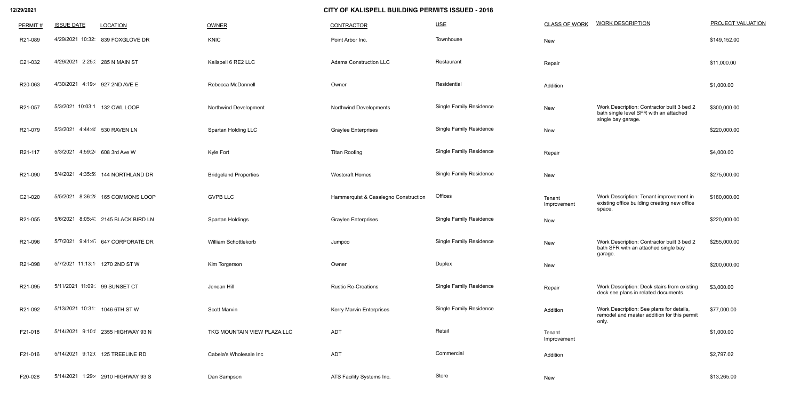| PERMIT# | <b>ISSUE DATE</b>              | <b>LOCATION</b>                    | <b>OWNER</b>                 | <b>CONTRACTOR</b>                    | $USE$                          | <b>CLASS OF WORK</b>  | <b>WORK DESCRIPTION</b>                                                                           | <b>PROJECT VALUATION</b> |
|---------|--------------------------------|------------------------------------|------------------------------|--------------------------------------|--------------------------------|-----------------------|---------------------------------------------------------------------------------------------------|--------------------------|
| R21-089 |                                | 4/29/2021 10:32: 839 FOXGLOVE DR   | <b>KNIC</b>                  | Point Arbor Inc.                     | Townhouse                      | New                   |                                                                                                   | \$149,152.00             |
| C21-032 | 4/29/2021 2:25: 285 N MAIN ST  |                                    | Kalispell 6 RE2 LLC          | <b>Adams Construction LLC</b>        | Restaurant                     | Repair                |                                                                                                   | \$11,000.00              |
| R20-063 | 4/30/2021 4:19:4 927 2ND AVE E |                                    | Rebecca McDonnell            | Owner                                | Residential                    | Addition              |                                                                                                   | \$1,000.00               |
| R21-057 | 5/3/2021 10:03:1               | 132 OWL LOOP                       | Northwind Development        | <b>Northwind Developments</b>        | <b>Single Family Residence</b> | New                   | Work Description: Contractor built 3 bed 2<br>bath single level SFR with an attached              | \$300,000.00             |
| R21-079 | 5/3/2021 4:44:4 530 RAVEN LN   |                                    | Spartan Holding LLC          | <b>Graylee Enterprises</b>           | <b>Single Family Residence</b> | New                   | single bay garage.                                                                                | \$220,000.00             |
| R21-117 | 5/3/2021 4:59:24 608 3rd Ave W |                                    | Kyle Fort                    | <b>Titan Roofing</b>                 | <b>Single Family Residence</b> | Repair                |                                                                                                   | \$4,000.00               |
| R21-090 | 4:35:59<br>5/4/2021            | 144 NORTHLAND DR                   | <b>Bridgeland Properties</b> | <b>Westcraft Homes</b>               | <b>Single Family Residence</b> | New                   |                                                                                                   | \$275,000.00             |
| C21-020 | 5/5/2021<br>8:36:28            | 165 COMMONS LOOP                   | <b>GVPB LLC</b>              | Hammerquist & Casalegno Construction | Offices                        | Tenant<br>Improvement | Work Description: Tenant improvement in<br>existing office building creating new office<br>space. | \$180,000.00             |
| R21-055 | 5/6/2021                       | 8:05:4 2145 BLACK BIRD LN          | Spartan Holdings             | <b>Graylee Enterprises</b>           | <b>Single Family Residence</b> | New                   |                                                                                                   | \$220,000.00             |
| R21-096 | 5/7/2021                       | 9:41:4 647 CORPORATE DR            | William Schottlekorb         | Jumpco                               | <b>Single Family Residence</b> | New                   | Work Description: Contractor built 3 bed 2<br>bath SFR with an attached single bay<br>garage.     | \$255,000.00             |
| R21-098 | 5/7/2021 11:13:1 1270 2ND ST W |                                    | Kim Torgerson                | Owner                                | Duplex                         | New                   |                                                                                                   | \$200,000.00             |
| R21-095 | 5/11/2021 11:09: 99 SUNSET CT  |                                    | Jenean Hill                  | <b>Rustic Re-Creations</b>           | <b>Single Family Residence</b> | Repair                | Work Description: Deck stairs from existing<br>deck see plans in related documents.               | \$3,000.00               |
| R21-092 | 5/13/2021 10:31: 1046 6TH ST W |                                    | Scott Marvin                 | <b>Kerry Marvin Enterprises</b>      | <b>Single Family Residence</b> | Addition              | Work Description: See plans for details,<br>remodel and master addition for this permit<br>only.  | \$77,000.00              |
| F21-018 |                                | 5/14/2021 9:10: 2355 HIGHWAY 93 N  | TKG MOUNTAIN VIEW PLAZA LLC  | <b>ADT</b>                           | Retail                         | Tenant<br>Improvement |                                                                                                   | \$1,000.00               |
| F21-016 |                                | 5/14/2021 9:12:( 125 TREELINE RD   | Cabela's Wholesale Inc       | <b>ADT</b>                           | Commercial                     | Addition              |                                                                                                   | \$2,797.02               |
| F20-028 |                                | 5/14/2021 1:29:4 2910 HIGHWAY 93 S | Dan Sampson                  | ATS Facility Systems Inc.            | Store                          | New                   |                                                                                                   | \$13,265.00              |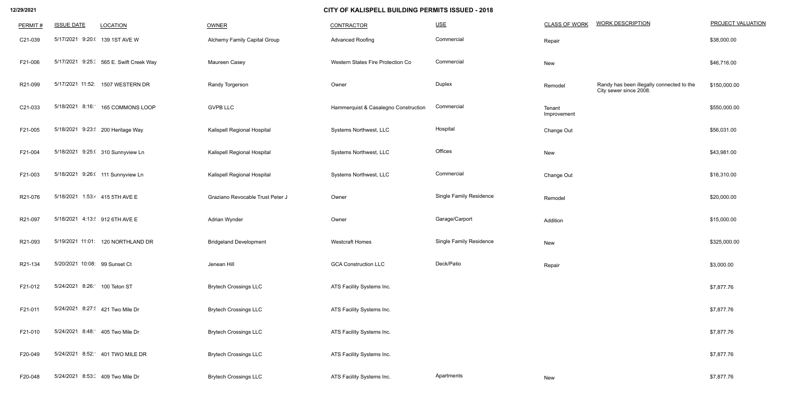| <b>CLASS OF WORK</b>  | <b>WORK DESCRIPTION</b>                                             | <b>PROJECT VALUATIO</b> |
|-----------------------|---------------------------------------------------------------------|-------------------------|
| Repair                |                                                                     | \$38,000.00             |
| <b>New</b>            |                                                                     | \$46,716.00             |
| Remodel               | Randy has been illegally connected to the<br>City sewer since 2008. | \$150,000.00            |
| Tenant<br>Improvement |                                                                     | \$550,000.00            |
| Change Out            |                                                                     | \$56,031.00             |
| <b>New</b>            |                                                                     | \$43,981.00             |
| Change Out            |                                                                     | \$16,310.00             |
| Remodel               |                                                                     | \$20,000.00             |
| Addition              |                                                                     | \$15,000.00             |
| <b>New</b>            |                                                                     | \$325,000.00            |
| Repair                |                                                                     | \$3,000.00              |
|                       |                                                                     | \$7,877.76              |
|                       |                                                                     | \$7,877.76              |
|                       |                                                                     | \$7,877.76              |
|                       |                                                                     | \$7,877.76              |
| New                   |                                                                     | \$7,877.76              |

| PERMIT# | <b>ISSUE DATE</b>               | <b>LOCATION</b>                        | <b>OWNER</b>                     | CONTRACTOR                           | USE                            | <b>CLASS OF WORK</b>  | <b>WORK DESCRIPTION</b>                                             | <b>PROJECT VALUATION</b> |
|---------|---------------------------------|----------------------------------------|----------------------------------|--------------------------------------|--------------------------------|-----------------------|---------------------------------------------------------------------|--------------------------|
| C21-039 | 5/17/2021 9:20:( 139 1ST AVE W  |                                        | Alchemy Family Capital Group     | <b>Advanced Roofing</b>              | Commercial                     | Repair                |                                                                     | \$38,000.00              |
| F21-006 |                                 | 5/17/2021 9:25: 565 E. Swift Creek Way | Maureen Casey                    | Western States Fire Protection Co    | Commercial                     | New                   |                                                                     | \$46,716.00              |
| R21-099 |                                 | 5/17/2021 11:52: 1507 WESTERN DR       | Randy Torgerson                  | Owner                                | Duplex                         | Remodel               | Randy has been illegally connected to the<br>City sewer since 2008. | \$150,000.00             |
| C21-033 |                                 | 5/18/2021 8:16: 165 COMMONS LOOP       | <b>GVPB LLC</b>                  | Hammerquist & Casalegno Construction | Commercial                     | Tenant<br>Improvement |                                                                     | \$550,000.00             |
| F21-005 |                                 | 5/18/2021 9:23: 200 Heritage Way       | Kalispell Regional Hospital      | Systems Northwest, LLC               | Hospital                       | Change Out            |                                                                     | \$56,031.00              |
| F21-004 |                                 | 5/18/2021 9:25:( 310 Sunnyview Ln      | Kalispell Regional Hospital      | Systems Northwest, LLC               | Offices                        | New                   |                                                                     | \$43,981.00              |
| F21-003 |                                 | 5/18/2021 9:26:( 111 Sunnyview Ln      | Kalispell Regional Hospital      | Systems Northwest, LLC               | Commercial                     | Change Out            |                                                                     | \$16,310.00              |
| R21-076 | 5/18/2021 1:53:4 415 5TH AVE E  |                                        | Graziano Revocable Trust Peter J | Owner                                | <b>Single Family Residence</b> | Remodel               |                                                                     | \$20,000.00              |
| R21-097 | 5/18/2021 4:13: 912 6TH AVE E   |                                        | Adrian Wynder                    | Owner                                | Garage/Carport                 | Addition              |                                                                     | \$15,000.00              |
| R21-093 |                                 | 5/19/2021 11:01: 120 NORTHLAND DR      | <b>Bridgeland Development</b>    | <b>Westcraft Homes</b>               | <b>Single Family Residence</b> | New                   |                                                                     | \$325,000.00             |
| R21-134 | 5/20/2021 10:08: 99 Sunset Ct   |                                        | Jenean Hill                      | <b>GCA Construction LLC</b>          | Deck/Patio                     | Repair                |                                                                     | \$3,000.00               |
| F21-012 | 5/24/2021 8:26: 100 Teton ST    |                                        | <b>Brytech Crossings LLC</b>     | ATS Facility Systems Inc.            |                                |                       |                                                                     | \$7,877.76               |
| F21-011 | 5/24/2021 8:27: 421 Two Mile Dr |                                        | <b>Brytech Crossings LLC</b>     | ATS Facility Systems Inc.            |                                |                       |                                                                     | \$7,877.76               |
| F21-010 | 5/24/2021 8:48: 405 Two Mile Dr |                                        | <b>Brytech Crossings LLC</b>     | ATS Facility Systems Inc.            |                                |                       |                                                                     | \$7,877.76               |
| F20-049 |                                 | 5/24/2021 8:52: 401 TWO MILE DR        | <b>Brytech Crossings LLC</b>     | ATS Facility Systems Inc.            |                                |                       |                                                                     | \$7,877.76               |
| F20-048 | 5/24/2021 8:53: 409 Two Mile Dr |                                        | <b>Brytech Crossings LLC</b>     | ATS Facility Systems Inc.            | Apartments                     | New                   |                                                                     | \$7,877.76               |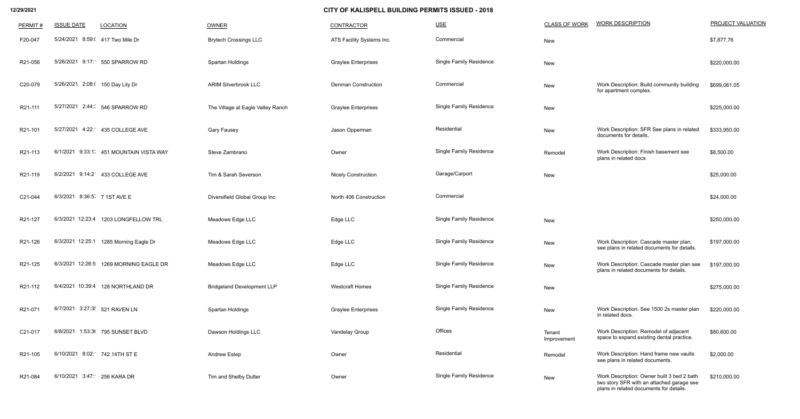| PERMIT# | <b>ISSUE DATE</b>                | <b>LOCATION</b>                         | <b>OWNER</b>                      | <b>CONTRACTOR</b>          | $USE$                          | <b>CLASS OF WORK</b>  | <b>WORK DESCRIPTION</b>                                                                                                            | PROJECT VALUATION |
|---------|----------------------------------|-----------------------------------------|-----------------------------------|----------------------------|--------------------------------|-----------------------|------------------------------------------------------------------------------------------------------------------------------------|-------------------|
| F20-047 | 5/24/2021 8:59:( 417 Two Mile Dr |                                         | <b>Brytech Crossings LLC</b>      | ATS Facility Systems Inc.  | Commercial                     | New                   |                                                                                                                                    | \$7,877.76        |
| R21-056 |                                  | 5/26/2021 9:17: 550 SPARROW RD          | Spartan Holdings                  | <b>Graylee Enterprises</b> | <b>Single Family Residence</b> | New                   |                                                                                                                                    | \$220,000.00      |
| C20-079 | 5/26/2021 2:08:( 150 Day Lily Dr |                                         | <b>ARIM Silverbrook LLC</b>       | <b>Denman Construction</b> | Commercial                     | New                   | Work Description: Build community building<br>for apartment complex.                                                               | \$699,061.05      |
| R21-111 |                                  | 5/27/2021 2:44: 546 SPARROW RD          | The Village at Eagle Valley Ranch | <b>Graylee Enterprises</b> | <b>Single Family Residence</b> | New                   |                                                                                                                                    | \$225,000.00      |
| R21-101 |                                  | 5/27/2021 4:22: 435 COLLEGE AVE         | <b>Gary Fausey</b>                | Jason Opperman             | Residential                    | New                   | Work Description: SFR See plans in related<br>documents for details,                                                               | \$333,950.00      |
| R21-113 |                                  | 6/1/2021 9:33:1. 451 MOUNTAIN VISTA WAY | Steve Zambrano                    | Owner                      | <b>Single Family Residence</b> | Remodel               | Work Description: Finish basement see<br>plans in related docs                                                                     | \$8,500.00        |
| R21-119 |                                  | 6/2/2021 9:14:2 433 COLLEGE AVE         | Tim & Sarah Severson              | <b>Nicely Construction</b> | Garage/Carport                 | New                   |                                                                                                                                    | \$25,000.00       |
| C21-044 | 6/3/2021 8:36:5 7 1ST AVE E      |                                         | Diversifield Global Group Inc     | North 406 Construction     | Commercial                     |                       |                                                                                                                                    | \$24,000.00       |
| R21-127 | 6/3/2021 12:23:4                 | 1203 LONGFELLOW TRL                     | Meadows Edge LLC                  | Edge LLC                   | <b>Single Family Residence</b> | New                   |                                                                                                                                    | \$250,000.00      |
| R21-126 | 6/3/2021 12:25:1                 | 1285 Morning Eagle Dr                   | Meadows Edge LLC                  | Edge LLC                   | <b>Single Family Residence</b> | New                   | Work Description: Cascade master plan,<br>see plans in related documents for details.                                              | \$197,000.00      |
| R21-125 |                                  | 6/3/2021 12:26:5 1269 MORNING EAGLE DR  | Meadows Edge LLC                  | Edge LLC                   | <b>Single Family Residence</b> | New                   | Work Description: Cascade master plan see<br>plans in related documents for details.                                               | \$197,000.00      |
| R21-112 |                                  | 6/4/2021 10:39:4 128 NORTHLAND DR       | <b>Bridgeland Development LLP</b> | <b>Westcraft Homes</b>     | <b>Single Family Residence</b> | New                   |                                                                                                                                    | \$275,000.00      |
| R21-071 | 6/7/2021 3:27:3 521 RAVEN LN     |                                         | Spartan Holdings                  | <b>Graylee Enterprises</b> | <b>Single Family Residence</b> | New                   | Work Description: See 1500 2s master plan<br>in related docs.                                                                      | \$220,000.00      |
| C21-017 |                                  | 6/8/2021 1:53:36 795 SUNSET BLVD        | Dawson Holdings LLC               | Vandelay Group             | Offices                        | Tenant<br>Improvement | Work Description: Remodel of adjacent<br>space to expand existing dental practice.                                                 | \$80,600.00       |
| R21-105 | 6/10/2021 8:02: 742 14TH ST E    |                                         | <b>Andrew Estep</b>               | Owner                      | Residential                    | Remodel               | Work Description: Hand frame new vaults<br>see plans in related documents.                                                         | \$2,000.00        |
| R21-084 | 6/10/2021 3:47: 256 KARA DR      |                                         | Tim and Shelby Dutter             | Owner                      | <b>Single Family Residence</b> | New                   | Work Description: Owner built 3 bed 2 bath<br>two story SFR with an attached garage see<br>plans in related documents for details. | \$210,000.00      |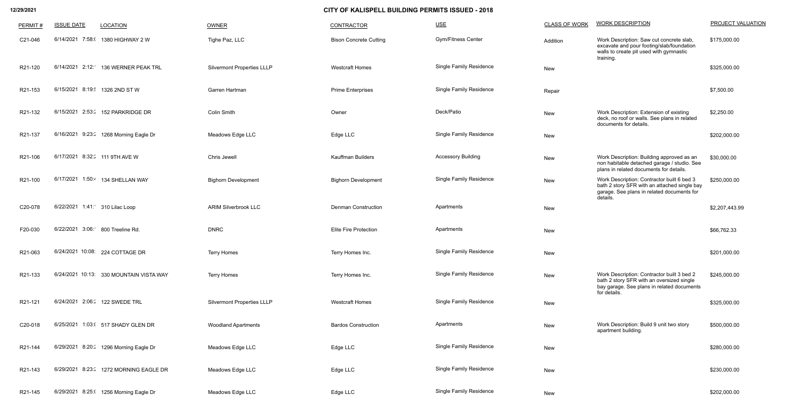| PERMIT# | <b>ISSUE DATE</b>                | <b>LOCATION</b>                         | OWNER                             | <b>CONTRACTOR</b>             | $USE$                          | <b>CLASS OF WORK</b> | <b>WORK DESCRIPTION</b>                                                                                                                               | PROJECT VALUATION |
|---------|----------------------------------|-----------------------------------------|-----------------------------------|-------------------------------|--------------------------------|----------------------|-------------------------------------------------------------------------------------------------------------------------------------------------------|-------------------|
| C21-046 | 6/14/2021 7:58:0                 | 1380 HIGHWAY 2 W                        | Tighe Paz, LLC                    | <b>Bison Concrete Cutting</b> | <b>Gym/Fitness Center</b>      | Addition             | Work Description: Saw cut concrete slab,<br>excavate and pour footing/slab/foundation<br>walls to create pit used with gymnastic<br>training.         | \$175,000.00      |
| R21-120 |                                  | 6/14/2021 2:12: 136 WERNER PEAK TRL     | <b>Silvermont Properties LLLP</b> | <b>Westcraft Homes</b>        | <b>Single Family Residence</b> | New                  |                                                                                                                                                       | \$325,000.00      |
| R21-153 |                                  | 6/15/2021 8:19: 1326 2ND ST W           | Garren Hartman                    | <b>Prime Enterprises</b>      | <b>Single Family Residence</b> | Repair               |                                                                                                                                                       | \$7,500.00        |
| R21-132 |                                  | 6/15/2021 2:53: 152 PARKRIDGE DR        | Colin Smith                       | Owner                         | Deck/Patio                     | New                  | Work Description: Extension of existing<br>deck, no roof or walls. See plans in related<br>documents for details.                                     | \$2,250.00        |
| R21-137 |                                  | 6/16/2021 9:23: 1268 Morning Eagle Dr   | Meadows Edge LLC                  | Edge LLC                      | <b>Single Family Residence</b> | New                  |                                                                                                                                                       | \$202,000.00      |
| R21-106 | 6/17/2021 8:32: 111 9TH AVE W    |                                         | Chris Jewell                      | <b>Kauffman Builders</b>      | <b>Accessory Building</b>      | New                  | Work Description: Building approved as an<br>non habitable detached garage / studio. See<br>plans in related documents for details.                   | \$30,000.00       |
| R21-100 |                                  | 6/17/2021 1:50:4 134 SHELLAN WAY        | <b>Bighorn Development</b>        | <b>Bighorn Development</b>    | <b>Single Family Residence</b> | New                  | Work Description: Contractor built 6 bed 3<br>bath 2 story SFR with an attached single bay<br>garage. See plans in related documents for<br>details.  | \$250,000.00      |
| C20-078 | 6/22/2021 1:41: 310 Lilac Loop   |                                         | <b>ARIM Silverbrook LLC</b>       | <b>Denman Construction</b>    | Apartments                     | New                  |                                                                                                                                                       | \$2,207,443.99    |
| F20-030 | 6/22/2021 3:06: 800 Treeline Rd. |                                         | <b>DNRC</b>                       | <b>Elite Fire Protection</b>  | Apartments                     | New                  |                                                                                                                                                       | \$66,762.33       |
| R21-063 |                                  | 6/24/2021 10:08: 224 COTTAGE DR         | <b>Terry Homes</b>                | Terry Homes Inc.              | <b>Single Family Residence</b> | New                  |                                                                                                                                                       | \$201,000.00      |
| R21-133 |                                  | 6/24/2021 10:13: 330 MOUNTAIN VISTA WAY | <b>Terry Homes</b>                | Terry Homes Inc.              | <b>Single Family Residence</b> | New                  | Work Description: Contractor built 3 bed 2<br>bath 2 story SFR with an oversized single<br>bay garage. See plans in related documents<br>for details. | \$245,000.00      |
| R21-121 |                                  | 6/24/2021 2:06: 122 SWEDE TRL           | <b>Silvermont Properties LLLP</b> | <b>Westcraft Homes</b>        | <b>Single Family Residence</b> | New                  |                                                                                                                                                       | \$325,000.00      |
| C20-018 |                                  | 6/25/2021 1:03:( 517 SHADY GLEN DR      | <b>Woodland Apartments</b>        | <b>Bardos Construction</b>    | Apartments                     | New                  | Work Description: Build 9 unit two story<br>apartment building.                                                                                       | \$500,000.00      |
| R21-144 |                                  | 6/29/2021 8:20: 1296 Morning Eagle Dr   | Meadows Edge LLC                  | Edge LLC                      | <b>Single Family Residence</b> | New                  |                                                                                                                                                       | \$280,000.00      |
| R21-143 |                                  | 6/29/2021 8:23: 1272 MORNING EAGLE DR   | Meadows Edge LLC                  | Edge LLC                      | <b>Single Family Residence</b> | New                  |                                                                                                                                                       | \$230,000.00      |
| R21-145 |                                  | 6/29/2021 8:25:( 1256 Morning Eagle Dr  | Meadows Edge LLC                  | Edge LLC                      | <b>Single Family Residence</b> | New                  |                                                                                                                                                       | \$202,000.00      |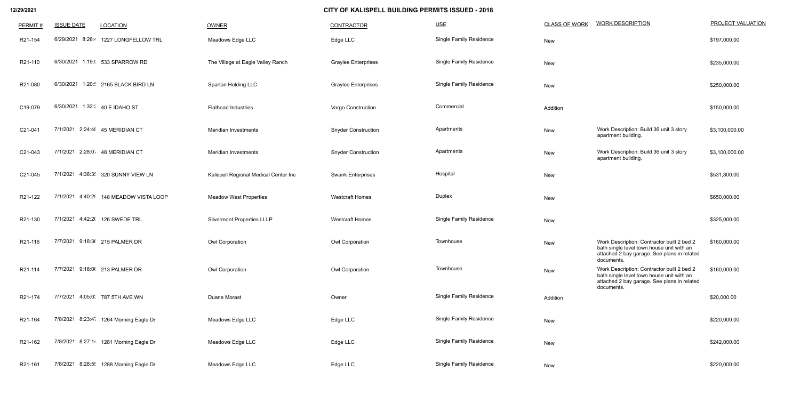| PERMIT# | <b>ISSUE DATE</b>   | <b>LOCATION</b>                         | OWNER                                 | CONTRACTOR                 | $USE$                          | <b>CLASS OF WORK</b> | <b>WORK DESCRIPTION</b>                                                                                                                              | <b>PROJECT VALUATION</b> |
|---------|---------------------|-----------------------------------------|---------------------------------------|----------------------------|--------------------------------|----------------------|------------------------------------------------------------------------------------------------------------------------------------------------------|--------------------------|
| R21-154 | 8:26:4<br>6/29/2021 | 1227 LONGFELLOW TRL                     | Meadows Edge LLC                      | Edge LLC                   | <b>Single Family Residence</b> | New                  |                                                                                                                                                      | \$197,000.00             |
| R21-110 |                     | 6/30/2021 1:19: 533 SPARROW RD          | The Village at Eagle Valley Ranch     | <b>Graylee Enterprises</b> | <b>Single Family Residence</b> | New                  |                                                                                                                                                      | \$235,000.00             |
| R21-080 | 6/30/2021           | 1:20: 2165 BLACK BIRD LN                | Spartan Holding LLC                   | <b>Graylee Enterprises</b> | <b>Single Family Residence</b> | New                  |                                                                                                                                                      | \$250,000.00             |
| C19-079 | 6/30/2021           | 1:32: 40 E IDAHO ST                     | <b>Flathead Industries</b>            | Vargo Construction         | Commercial                     | Addition             |                                                                                                                                                      | \$150,000.00             |
| C21-041 |                     | 7/1/2021 2:24:48 45 MERIDIAN CT         | Meridian Investments                  | <b>Snyder Construction</b> | Apartments                     | New                  | Work Description: Build 36 unit 3 story<br>apartment building.                                                                                       | \$3,100,000.00           |
| C21-043 |                     | 7/1/2021 2:28:0 48 MERIDIAN CT          | <b>Meridian Investments</b>           | <b>Snyder Construction</b> | Apartments                     | New                  | Work Description: Build 36 unit 3 story<br>apartment building.                                                                                       | \$3,100,000.00           |
| C21-045 | 7/1/2021            | 4:36:3 320 SUNNY VIEW LN                | Kalispell Regional Medical Center Inc | <b>Swank Enterprises</b>   | Hospital                       | New                  |                                                                                                                                                      | \$531,800.00             |
| R21-122 | 4:40:29<br>7/1/2021 | 148 MEADOW VISTA LOOP                   | <b>Meadow West Properties</b>         | <b>Westcraft Homes</b>     | Duplex                         | New                  |                                                                                                                                                      | \$650,000.00             |
| R21-130 |                     | 7/1/2021 4:42:2( 126 SWEDE TRL          | <b>Silvermont Properties LLLP</b>     | <b>Westcraft Homes</b>     | <b>Single Family Residence</b> | New                  |                                                                                                                                                      | \$325,000.00             |
| R21-116 |                     | 7/7/2021 9:16:36 215 PALMER DR          | <b>Owl Corporation</b>                | Owl Corporation            | Townhouse                      | New                  | Work Description: Contractor built 2 bed 2<br>bath single level town house unit with an<br>attached 2 bay garage. See plans in related<br>documents. | \$160,000.00             |
| R21-114 |                     | 7/7/2021 9:18:06 213 PALMER DR          | Owl Corporation                       | Owl Corporation            | Townhouse                      | New                  | Work Description: Contractor built 2 bed 2<br>bath single level town house unit with an<br>attached 2 bay garage. See plans in related<br>documents. | \$160,000.00             |
| R21-174 |                     | 7/7/2021 4:05:0. 787 5TH AVE WN         | Duane Morast                          | Owner                      | <b>Single Family Residence</b> | Addition             |                                                                                                                                                      | \$20,000.00              |
| R21-164 |                     | 7/8/2021 8:23:4 1264 Morning Eagle Dr   | Meadows Edge LLC                      | Edge LLC                   | <b>Single Family Residence</b> | New                  |                                                                                                                                                      | \$220,000.00             |
| R21-162 |                     | 7/8/2021 8:27:14 1281 Morning Eagle Dr  | Meadows Edge LLC                      | Edge LLC                   | <b>Single Family Residence</b> | New                  |                                                                                                                                                      | \$242,000.00             |
| R21-161 |                     | 7/8/2021 8:28:5 ! 1288 Morning Eagle Dr | Meadows Edge LLC                      | Edge LLC                   | <b>Single Family Residence</b> | New                  |                                                                                                                                                      | \$220,000.00             |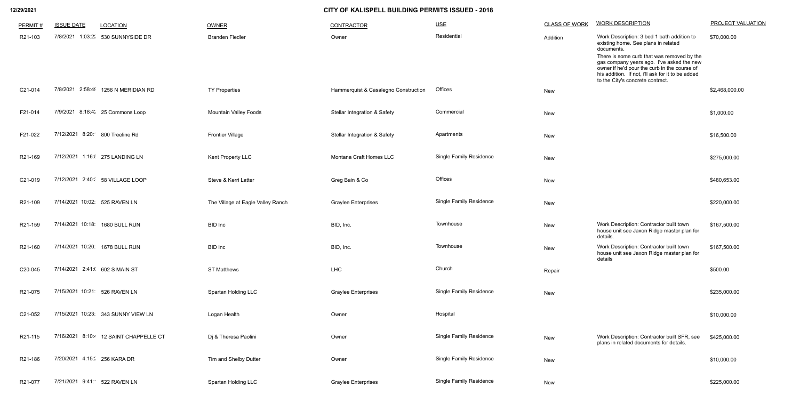| PERMIT# | <b>ISSUE DATE</b>               | <b>LOCATION</b>                       | OWNER                             | CONTRACTOR                              | $USE$                          | <b>CLASS OF WORK</b> | <b>WORK DESCRIPTION</b>                                                                                                                                                                                                                                                                                                             | <b>PROJECT VALUATION</b> |
|---------|---------------------------------|---------------------------------------|-----------------------------------|-----------------------------------------|--------------------------------|----------------------|-------------------------------------------------------------------------------------------------------------------------------------------------------------------------------------------------------------------------------------------------------------------------------------------------------------------------------------|--------------------------|
| R21-103 | 7/8/2021 1:03:22                | 530 SUNNYSIDE DR                      | <b>Branden Fiedler</b>            | Owner                                   | Residential                    | Addition             | Work Description: 3 bed 1 bath addition to<br>existing home. See plans in related<br>documents.<br>There is some curb that was removed by the<br>gas company years ago. I've asked the new<br>owner if he'd pour the curb in the course of<br>his addition. If not, i'll ask for it to be added<br>to the City's concrete contract. | \$70,000.00              |
| C21-014 |                                 | 7/8/2021 2:58:4 1256 N MERIDIAN RD    | <b>TY Properties</b>              | Hammerquist & Casalegno Construction    | Offices                        | New                  |                                                                                                                                                                                                                                                                                                                                     | \$2,468,000.00           |
| F21-014 |                                 | 7/9/2021 8:18:4: 25 Commons Loop      | <b>Mountain Valley Foods</b>      | <b>Stellar Integration &amp; Safety</b> | Commercial                     | New                  |                                                                                                                                                                                                                                                                                                                                     | \$1,000.00               |
| F21-022 | 7/12/2021 8:20: 800 Treeline Rd |                                       | <b>Frontier Village</b>           | <b>Stellar Integration &amp; Safety</b> | Apartments                     | <b>New</b>           |                                                                                                                                                                                                                                                                                                                                     | \$16,500.00              |
| R21-169 |                                 | 7/12/2021 1:16: 275 LANDING LN        | Kent Property LLC                 | Montana Craft Homes LLC                 | <b>Single Family Residence</b> | New                  |                                                                                                                                                                                                                                                                                                                                     | \$275,000.00             |
| C21-019 |                                 | 7/12/2021 2:40: 58 VILLAGE LOOP       | Steve & Kerri Latter              | Greg Bain & Co                          | Offices                        | New                  |                                                                                                                                                                                                                                                                                                                                     | \$480,653.00             |
| R21-109 | 7/14/2021 10:02: 525 RAVEN LN   |                                       | The Village at Eagle Valley Ranch | <b>Graylee Enterprises</b>              | <b>Single Family Residence</b> | New                  |                                                                                                                                                                                                                                                                                                                                     | \$220,000.00             |
| R21-159 |                                 | 7/14/2021 10:18: 1680 BULL RUN        | <b>BID</b> Inc                    | BID, Inc.                               | Townhouse                      | New                  | Work Description: Contractor built town<br>house unit see Jaxon Ridge master plan for<br>details.                                                                                                                                                                                                                                   | \$167,500.00             |
| R21-160 |                                 | 7/14/2021 10:20: 1678 BULL RUN        | <b>BID</b> Inc                    | BID, Inc.                               | Townhouse                      | New                  | Work Description: Contractor built town<br>house unit see Jaxon Ridge master plan for<br>details                                                                                                                                                                                                                                    | \$167,500.00             |
| C20-045 | 7/14/2021 2:41:( 602 S MAIN ST  |                                       | <b>ST Matthews</b>                | LHC                                     | Church                         | Repair               |                                                                                                                                                                                                                                                                                                                                     | \$500.00                 |
| R21-075 | 7/15/2021 10:21: 526 RAVEN LN   |                                       | <b>Spartan Holding LLC</b>        | <b>Graylee Enterprises</b>              | <b>Single Family Residence</b> | New                  |                                                                                                                                                                                                                                                                                                                                     | \$235,000.00             |
| C21-052 |                                 | 7/15/2021 10:23: 343 SUNNY VIEW LN    | Logan Health                      | Owner                                   | Hospital                       |                      |                                                                                                                                                                                                                                                                                                                                     | \$10,000.00              |
| R21-115 |                                 | 7/16/2021 8:10: 12 SAINT CHAPPELLE CT | Dj & Theresa Paolini              | Owner                                   | <b>Single Family Residence</b> | New                  | Work Description: Contractor built SFR, see<br>plans in related documents for details.                                                                                                                                                                                                                                              | \$425,000.00             |
| R21-186 | 7/20/2021 4:15: 256 KARA DR     |                                       | Tim and Shelby Dutter             | Owner                                   | <b>Single Family Residence</b> | New                  |                                                                                                                                                                                                                                                                                                                                     | \$10,000.00              |
| R21-077 | 7/21/2021 9:41: 522 RAVEN LN    |                                       | <b>Spartan Holding LLC</b>        | <b>Graylee Enterprises</b>              | <b>Single Family Residence</b> | New                  |                                                                                                                                                                                                                                                                                                                                     | \$225,000.00             |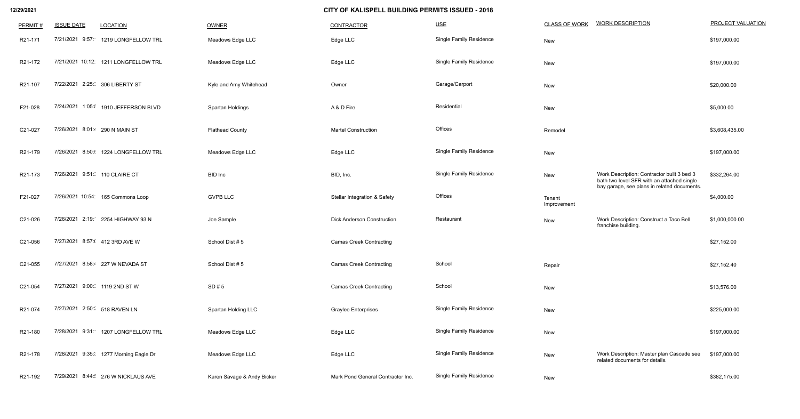| PERMIT# | <b>ISSUE DATE</b>              | <b>LOCATION</b>                       | OWNER                      | <b>CONTRACTOR</b>                       | $USE$                          | <b>CLASS OF WORK</b>  | <b>WORK DESCRIPTION</b>                                                                                                                 | <b>PROJECT VALUATION</b> |
|---------|--------------------------------|---------------------------------------|----------------------------|-----------------------------------------|--------------------------------|-----------------------|-----------------------------------------------------------------------------------------------------------------------------------------|--------------------------|
| R21-171 | 7/21/2021 9:57:                | 1219 LONGFELLOW TRL                   | Meadows Edge LLC           | Edge LLC                                | <b>Single Family Residence</b> | New                   |                                                                                                                                         | \$197,000.00             |
| R21-172 |                                | 7/21/2021 10:12: 1211 LONGFELLOW TRL  | Meadows Edge LLC           | Edge LLC                                | <b>Single Family Residence</b> | New                   |                                                                                                                                         | \$197,000.00             |
| R21-107 | 7/22/2021 2:25: 306 LIBERTY ST |                                       | Kyle and Amy Whitehead     | Owner                                   | Garage/Carport                 | New                   |                                                                                                                                         | \$20,000.00              |
| F21-028 | 7/24/2021                      | 1:05: 1910 JEFFERSON BLVD             | Spartan Holdings           | A & D Fire                              | Residential                    | New                   |                                                                                                                                         | \$5,000.00               |
| C21-027 | 7/26/2021 8:01:4 290 N MAIN ST |                                       | <b>Flathead County</b>     | <b>Martel Construction</b>              | Offices                        | Remodel               |                                                                                                                                         | \$3,608,435.00           |
| R21-179 |                                | 7/26/2021 8:50: 1224 LONGFELLOW TRL   | Meadows Edge LLC           | Edge LLC                                | <b>Single Family Residence</b> | New                   |                                                                                                                                         | \$197,000.00             |
| R21-173 | 7/26/2021 9:51: 110 CLAIRE CT  |                                       | <b>BID</b> Inc             | BID, Inc.                               | <b>Single Family Residence</b> | New                   | Work Description: Contractor built 3 bed 3<br>bath two level SFR with an attached single<br>bay garage, see plans in related documents. | \$332,264.00             |
| F21-027 |                                | 7/26/2021 10:54: 165 Commons Loop     | <b>GVPB LLC</b>            | <b>Stellar Integration &amp; Safety</b> | Offices                        | Tenant<br>Improvement |                                                                                                                                         | \$4,000.00               |
| C21-026 |                                | 7/26/2021 2:19: 2254 HIGHWAY 93 N     | Joe Sample                 | <b>Dick Anderson Construction</b>       | Restaurant                     | New                   | Work Description: Construct a Taco Bell<br>franchise building.                                                                          | \$1,000,000.00           |
| C21-056 | 7/27/2021 8:57:( 412 3RD AVE W |                                       | School Dist #5             | <b>Camas Creek Contracting</b>          |                                |                       |                                                                                                                                         | \$27,152.00              |
| C21-055 |                                | 7/27/2021 8:58:4 227 W NEVADA ST      | School Dist #5             | <b>Camas Creek Contracting</b>          | School                         | Repair                |                                                                                                                                         | \$27,152.40              |
| C21-054 | 7/27/2021 9:00: 1119 2ND ST W  |                                       | SD# 5                      | <b>Camas Creek Contracting</b>          | School                         | New                   |                                                                                                                                         | \$13,576.00              |
| R21-074 | 7/27/2021 2:50: 518 RAVEN LN   |                                       | <b>Spartan Holding LLC</b> | <b>Graylee Enterprises</b>              | <b>Single Family Residence</b> | New                   |                                                                                                                                         | \$225,000.00             |
| R21-180 |                                | 7/28/2021 9:31: 1207 LONGFELLOW TRL   | Meadows Edge LLC           | Edge LLC                                | <b>Single Family Residence</b> | New                   |                                                                                                                                         | \$197,000.00             |
| R21-178 |                                | 7/28/2021 9:35: 1277 Morning Eagle Dr | Meadows Edge LLC           | Edge LLC                                | <b>Single Family Residence</b> | New                   | Work Description: Master plan Cascade see<br>related documents for details.                                                             | \$197,000.00             |
| R21-192 |                                | 7/29/2021 8:44: 276 W NICKLAUS AVE    | Karen Savage & Andy Bicker | Mark Pond General Contractor Inc.       | <b>Single Family Residence</b> | New                   |                                                                                                                                         | \$382,175.00             |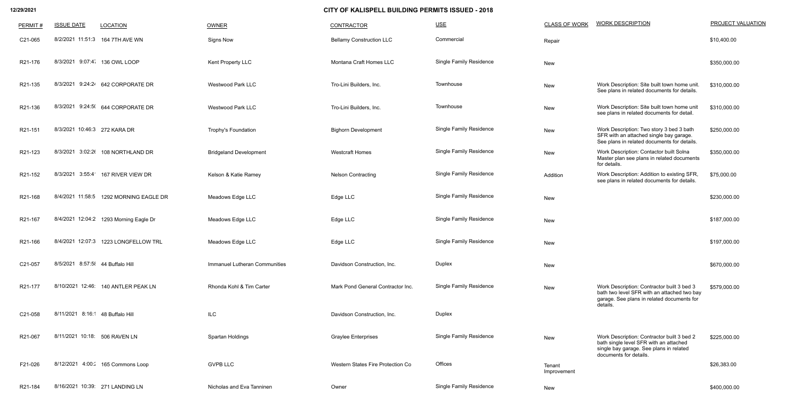| PERMIT# | <b>ISSUE DATE</b>                | <b>LOCATION</b>                        | OWNER                                | <b>CONTRACTOR</b>                 | $USE$                          | <b>CLASS OF WORK</b>  | <b>WORK DESCRIPTION</b>                                                                                                                                   | PROJECT VALUATION |
|---------|----------------------------------|----------------------------------------|--------------------------------------|-----------------------------------|--------------------------------|-----------------------|-----------------------------------------------------------------------------------------------------------------------------------------------------------|-------------------|
| C21-065 |                                  | 8/2/2021 11:51:3 164 7TH AVE WN        | <b>Signs Now</b>                     | <b>Bellamy Construction LLC</b>   | Commercial                     | Repair                |                                                                                                                                                           | \$10,400.00       |
| R21-176 | 8/3/2021 9:07:4 136 OWL LOOP     |                                        | Kent Property LLC                    | Montana Craft Homes LLC           | <b>Single Family Residence</b> | New                   |                                                                                                                                                           | \$350,000.00      |
| R21-135 |                                  | 8/3/2021 9:24:24 642 CORPORATE DR      | <b>Westwood Park LLC</b>             | Tro-Lini Builders, Inc.           | Townhouse                      | New                   | Work Description: Site built town home unit.<br>See plans in related documents for details.                                                               | \$310,000.00      |
| R21-136 |                                  | 8/3/2021 9:24:5( 644 CORPORATE DR      | <b>Westwood Park LLC</b>             | Tro-Lini Builders, Inc.           | Townhouse                      | New                   | Work Description: Site built town home unit<br>see plans in related documents for detail.                                                                 | \$310,000.00      |
| R21-151 | 8/3/2021 10:46:3 272 KARA DR     |                                        | <b>Trophy's Foundation</b>           | <b>Bighorn Development</b>        | <b>Single Family Residence</b> | New                   | Work Description: Two story 3 bed 3 bath<br>SFR with an attached single bay garage.<br>See plans in related documents for details.                        | \$250,000.00      |
| R21-123 |                                  | 8/3/2021 3:02:2( 108 NORTHLAND DR      | <b>Bridgeland Development</b>        | <b>Westcraft Homes</b>            | <b>Single Family Residence</b> | New                   | Work Description: Contactor built Solna<br>Master plan see plans in related documents<br>for details.                                                     | \$350,000.00      |
| R21-152 | 8/3/2021 3:55:4                  | 167 RIVER VIEW DR                      | Kelson & Katie Ramey                 | <b>Nelson Contracting</b>         | <b>Single Family Residence</b> | Addition              | Work Description: Addition to existing SFR,<br>see plans in related documents for details.                                                                | \$75,000.00       |
| R21-168 | 8/4/2021 11:58:5                 | 1292 MORNING EAGLE DR                  | Meadows Edge LLC                     | Edge LLC                          | <b>Single Family Residence</b> | New                   |                                                                                                                                                           | \$230,000.00      |
| R21-167 |                                  | 8/4/2021 12:04:2 1293 Morning Eagle Dr | Meadows Edge LLC                     | Edge LLC                          | <b>Single Family Residence</b> | New                   |                                                                                                                                                           | \$187,000.00      |
| R21-166 | 8/4/2021 12:07:3                 | 1223 LONGFELLOW TRL                    | Meadows Edge LLC                     | Edge LLC                          | <b>Single Family Residence</b> | New                   |                                                                                                                                                           | \$197,000.00      |
| C21-057 | 8/5/2021 8:57:5 44 Buffalo Hill  |                                        | <b>Immanuel Lutheran Communities</b> | Davidson Construction, Inc.       | Duplex                         | New                   |                                                                                                                                                           | \$670,000.00      |
| R21-177 |                                  | 8/10/2021 12:46: 140 ANTLER PEAK LN    | Rhonda Kohl & Tim Carter             | Mark Pond General Contractor Inc. | <b>Single Family Residence</b> | New                   | Work Description: Contractor built 3 bed 3<br>bath two level SFR with an attached two bay<br>garage. See plans in related documents for                   | \$579,000.00      |
| C21-058 | 8/11/2021 8:16:1 48 Buffalo Hill |                                        | ILC                                  | Davidson Construction, Inc.       | Duplex                         |                       | details.                                                                                                                                                  |                   |
| R21-067 | 8/11/2021 10:18: 506 RAVEN LN    |                                        | Spartan Holdings                     | <b>Graylee Enterprises</b>        | <b>Single Family Residence</b> | New                   | Work Description: Contractor built 3 bed 2<br>bath single level SFR with an attached<br>single bay garage. See plans in related<br>documents for details. | \$225,000.00      |
| F21-026 |                                  | 8/12/2021 4:00: 4165 Commons Loop      | <b>GVPB LLC</b>                      | Western States Fire Protection Co | Offices                        | Tenant<br>Improvement |                                                                                                                                                           | \$26,383.00       |
| R21-184 |                                  | 8/16/2021 10:39: 271 LANDING LN        | Nicholas and Eva Tanninen            | Owner                             | <b>Single Family Residence</b> | New                   |                                                                                                                                                           | \$400,000.00      |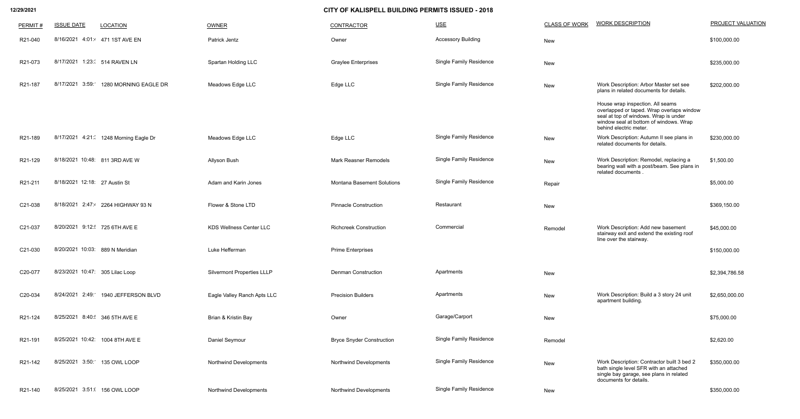| PERMIT# | <b>ISSUE DATE</b>               | <b>LOCATION</b>                       | OWNER                             | <b>CONTRACTOR</b>                 | $USE$                          | <b>CLASS OF WORK</b> | <b>WORK DESCRIPTION</b>                                                                                                                                                                    | PROJECT VALUATION |
|---------|---------------------------------|---------------------------------------|-----------------------------------|-----------------------------------|--------------------------------|----------------------|--------------------------------------------------------------------------------------------------------------------------------------------------------------------------------------------|-------------------|
| R21-040 | 8/16/2021 4:01:4 471 1ST AVE EN |                                       | Patrick Jentz                     | Owner                             | <b>Accessory Building</b>      | New                  |                                                                                                                                                                                            | \$100,000.00      |
| R21-073 | 8/17/2021 1:23: 514 RAVEN LN    |                                       | Spartan Holding LLC               | <b>Graylee Enterprises</b>        | <b>Single Family Residence</b> | New                  |                                                                                                                                                                                            | \$235,000.00      |
| R21-187 | 3:59:<br>8/17/2021              | 1280 MORNING EAGLE DR                 | Meadows Edge LLC                  | Edge LLC                          | <b>Single Family Residence</b> | New                  | Work Description: Arbor Master set see<br>plans in related documents for details.                                                                                                          | \$202,000.00      |
|         |                                 |                                       |                                   |                                   |                                |                      | House wrap inspection. All seams<br>overlapped or taped. Wrap overlaps window<br>seal at top of windows. Wrap is under<br>window seal at bottom of windows. Wrap<br>behind electric meter. |                   |
| R21-189 |                                 | 8/17/2021 4:21: 1248 Morning Eagle Dr | Meadows Edge LLC                  | Edge LLC                          | <b>Single Family Residence</b> | New                  | Work Description: Autumn II see plans in<br>related documents for details.                                                                                                                 | \$230,000.00      |
| R21-129 | 8/18/2021 10:48: 811 3RD AVE W  |                                       | Allyson Bush                      | <b>Mark Reasner Remodels</b>      | <b>Single Family Residence</b> | New                  | Work Description: Remodel, replacing a<br>bearing wall with a post/beam. See plans in<br>related documents                                                                                 | \$1,500.00        |
| R21-211 | 8/18/2021 12:18: 27 Austin St   |                                       | Adam and Karin Jones              | <b>Montana Basement Solutions</b> | <b>Single Family Residence</b> | Repair               |                                                                                                                                                                                            | \$5,000.00        |
| C21-038 |                                 | 8/18/2021 2:47: 2264 HIGHWAY 93 N     | Flower & Stone LTD                | <b>Pinnacle Construction</b>      | Restaurant                     | New                  |                                                                                                                                                                                            | \$369,150.00      |
| C21-037 | 8/20/2021 9:12: 725 6TH AVE E   |                                       | <b>KDS Wellness Center LLC</b>    | <b>Richcreek Construction</b>     | Commercial                     | Remodel              | Work Description: Add new basement<br>stairway exit and extend the existing roof<br>line over the stairway.                                                                                | \$45,000.00       |
| C21-030 | 8/20/2021 10:03: 889 N Meridian |                                       | Luke Hefferman                    | <b>Prime Enterprises</b>          |                                |                      |                                                                                                                                                                                            | \$150,000.00      |
| C20-077 | 8/23/2021 10:47: 305 Lilac Loop |                                       | <b>Silvermont Properties LLLP</b> | <b>Denman Construction</b>        | Apartments                     | New                  |                                                                                                                                                                                            | \$2,394,786.58    |
| C20-034 |                                 | 8/24/2021 2:49: 1940 JEFFERSON BLVD   | Eagle Valley Ranch Apts LLC       | <b>Precision Builders</b>         | Apartments                     | New                  | Work Description: Build a 3 story 24 unit<br>apartment building.                                                                                                                           | \$2,650,000.00    |
| R21-124 | 8/25/2021 8:40: 346 5TH AVE E   |                                       | Brian & Kristin Bay               | Owner                             | Garage/Carport                 | New                  |                                                                                                                                                                                            | \$75,000.00       |
| R21-191 | 8/25/2021 10:42: 1004 8TH AVE E |                                       | Daniel Seymour                    | <b>Bryce Snyder Construction</b>  | <b>Single Family Residence</b> | Remodel              |                                                                                                                                                                                            | \$2,620.00        |
| R21-142 | 8/25/2021                       | 3:50: 135 OWL LOOP                    | <b>Northwind Developments</b>     | <b>Northwind Developments</b>     | <b>Single Family Residence</b> | New                  | Work Description: Contractor built 3 bed 2<br>bath single level SFR with an attached<br>single bay garage, see plans in related                                                            | \$350,000.00      |
| R21-140 | 8/25/2021 3:51:( 156 OWL LOOP   |                                       | <b>Northwind Developments</b>     | <b>Northwind Developments</b>     | <b>Single Family Residence</b> | New                  | documents for details.                                                                                                                                                                     | \$350,000.00      |
|         |                                 |                                       |                                   |                                   |                                |                      |                                                                                                                                                                                            |                   |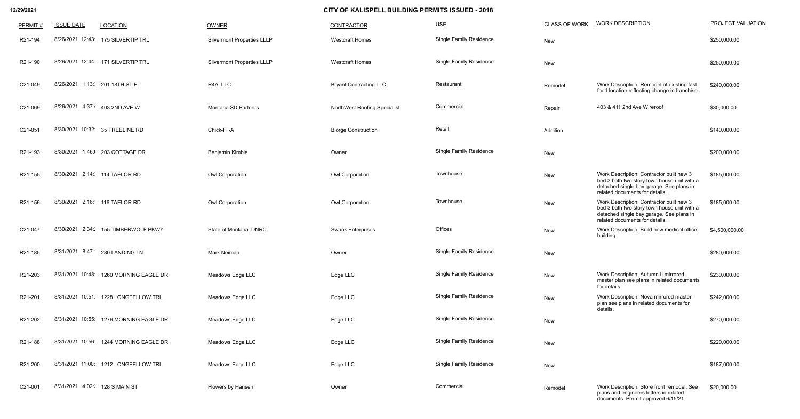| PERMIT# | <b>ISSUE DATE</b>               | <b>LOCATION</b>                        | OWNER                             | CONTRACTOR                    | $USE$                          | <b>CLASS OF WORK</b> | <b>WORK DESCRIPTION</b>                                                                                                                                               | <b>PROJECT VALUATION</b> |
|---------|---------------------------------|----------------------------------------|-----------------------------------|-------------------------------|--------------------------------|----------------------|-----------------------------------------------------------------------------------------------------------------------------------------------------------------------|--------------------------|
| R21-194 |                                 | 8/26/2021 12:43: 175 SILVERTIP TRL     | <b>Silvermont Properties LLLP</b> | <b>Westcraft Homes</b>        | Single Family Residence        | New                  |                                                                                                                                                                       | \$250,000.00             |
| R21-190 |                                 | 8/26/2021 12:44: 171 SILVERTIP TRL     | <b>Silvermont Properties LLLP</b> | <b>Westcraft Homes</b>        | <b>Single Family Residence</b> | New                  |                                                                                                                                                                       | \$250,000.00             |
| C21-049 | 8/26/2021 1:13:( 201 18TH ST E  |                                        | R4A, LLC                          | <b>Bryant Contracting LLC</b> | Restaurant                     | Remodel              | Work Description: Remodel of existing fast<br>food location reflecting change in franchise.                                                                           | \$240,000.00             |
| C21-069 | 8/26/2021 4:37:4 403 2ND AVE W  |                                        | Montana SD Partners               | NorthWest Roofing Specialist  | Commercial                     | Repair               | 403 & 411 2nd Ave W reroof                                                                                                                                            | \$30,000.00              |
| C21-051 | 8/30/2021 10:32: 35 TREELINE RD |                                        | Chick-Fil-A                       | <b>Biorge Construction</b>    | Retail                         | Addition             |                                                                                                                                                                       | \$140,000.00             |
| R21-193 | 8/30/2021                       | 1:46:(203 COTTAGE DR                   | Benjamin Kimble                   | Owner                         | <b>Single Family Residence</b> | New                  |                                                                                                                                                                       | \$200,000.00             |
| R21-155 | 8/30/2021 2:14: 114 TAELOR RD   |                                        | Owl Corporation                   | Owl Corporation               | Townhouse                      | New                  | Work Description: Contractor built new 3<br>bed 3 bath two story town house unit with a<br>detached single bay garage. See plans in<br>related documents for details. | \$185,000.00             |
| R21-156 | 8/30/2021 2:16: 116 TAELOR RD   |                                        | Owl Corporation                   | Owl Corporation               | Townhouse                      | New                  | Work Description: Contractor built new 3<br>bed 3 bath two story town house unit with a<br>detached single bay garage. See plans in<br>related documents for details. | \$185,000.00             |
| C21-047 |                                 | 8/30/2021 2:34: 155 TIMBERWOLF PKWY    | State of Montana DNRC             | <b>Swank Enterprises</b>      | Offices                        | New                  | Work Description: Build new medical office<br>building.                                                                                                               | \$4,500,000.00           |
| R21-185 | 8/31/2021 8:47: 280 LANDING LN  |                                        | Mark Neiman                       | Owner                         | <b>Single Family Residence</b> | New                  |                                                                                                                                                                       | \$280,000.00             |
| R21-203 |                                 | 8/31/2021 10:48: 1260 MORNING EAGLE DR | Meadows Edge LLC                  | Edge LLC                      | <b>Single Family Residence</b> | New                  | Work Description: Autumn II mirrored<br>master plan see plans in related documents<br>for details.                                                                    | \$230,000.00             |
| R21-201 | 8/31/2021 10:51:                | 1228 LONGFELLOW TRL                    | Meadows Edge LLC                  | Edge LLC                      | <b>Single Family Residence</b> | New                  | Work Description: Nova mirrored master<br>plan see plans in related documents for<br>details.                                                                         | \$242,000.00             |
| R21-202 |                                 | 8/31/2021 10:55: 1276 MORNING EAGLE DR | Meadows Edge LLC                  | Edge LLC                      | <b>Single Family Residence</b> | New                  |                                                                                                                                                                       | \$270,000.00             |
| R21-188 | 8/31/2021 10:56:                | 1244 MORNING EAGLE DR                  | Meadows Edge LLC                  | Edge LLC                      | <b>Single Family Residence</b> | New                  |                                                                                                                                                                       | \$220,000.00             |
| R21-200 |                                 | 8/31/2021 11:00: 1212 LONGFELLOW TRL   | Meadows Edge LLC                  | Edge LLC                      | <b>Single Family Residence</b> | New                  |                                                                                                                                                                       | \$187,000.00             |
| C21-001 | 8/31/2021 4:02: 128 S MAIN ST   |                                        | Flowers by Hansen                 | Owner                         | Commercial                     | Remodel              | Work Description: Store front remodel. See<br>plans and engineers letters in related<br>documents. Permit approved 6/15/21.                                           | \$20,000.00              |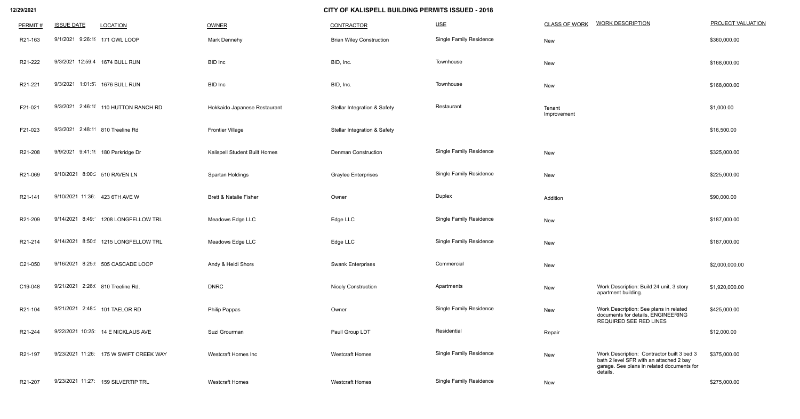| PERMIT# | <b>ISSUE DATE</b>                    | <b>LOCATION</b>                        | <b>OWNER</b>                      | <b>CONTRACTOR</b>                       | $USE$                          | <b>CLASS OF WORK</b>  | <b>WORK DESCRIPTION</b>                                                                                                                         | <b>PROJECT VALUATION</b> |
|---------|--------------------------------------|----------------------------------------|-----------------------------------|-----------------------------------------|--------------------------------|-----------------------|-------------------------------------------------------------------------------------------------------------------------------------------------|--------------------------|
| R21-163 | 9/1/2021 9:26:1 171 OWL LOOP         |                                        | <b>Mark Dennehy</b>               | <b>Brian Wiley Construction</b>         | <b>Single Family Residence</b> | New                   |                                                                                                                                                 | \$360,000.00             |
| R21-222 | 9/3/2021 12:59:4 1674 BULL RUN       |                                        | <b>BID</b> Inc                    | BID, Inc.                               | Townhouse                      | New                   |                                                                                                                                                 | \$168,000.00             |
| R21-221 | 9/3/2021 1:01:5 1676 BULL RUN        |                                        | <b>BID</b> Inc                    | BID, Inc.                               | Townhouse                      | New                   |                                                                                                                                                 | \$168,000.00             |
| F21-021 | 9/3/2021 2:46:1  110 HUTTON RANCH RD |                                        | Hokkaido Japanese Restaurant      | <b>Stellar Integration &amp; Safety</b> | Restaurant                     | Tenant<br>Improvement |                                                                                                                                                 | \$1,000.00               |
| F21-023 | 9/3/2021 2:48:11 810 Treeline Rd     |                                        | <b>Frontier Village</b>           | <b>Stellar Integration &amp; Safety</b> |                                |                       |                                                                                                                                                 | \$16,500.00              |
| R21-208 | 9/9/2021 9:41:1 180 Parkridge Dr     |                                        | Kalispell Student Built Homes     | <b>Denman Construction</b>              | <b>Single Family Residence</b> | New                   |                                                                                                                                                 | \$325,000.00             |
| R21-069 | 9/10/2021 8:00: 510 RAVEN LN         |                                        | Spartan Holdings                  | <b>Graylee Enterprises</b>              | <b>Single Family Residence</b> | New                   |                                                                                                                                                 | \$225,000.00             |
| R21-141 | 9/10/2021 11:36: 423 6TH AVE W       |                                        | <b>Brett &amp; Natalie Fisher</b> | Owner                                   | <b>Duplex</b>                  | Addition              |                                                                                                                                                 | \$90,000.00              |
| R21-209 | 9/14/2021 8:49: 1208 LONGFELLOW TRL  |                                        | Meadows Edge LLC                  | Edge LLC                                | <b>Single Family Residence</b> | New                   |                                                                                                                                                 | \$187,000.00             |
| R21-214 | 9/14/2021 8:50:                      | 1215 LONGFELLOW TRL                    | Meadows Edge LLC                  | Edge LLC                                | <b>Single Family Residence</b> | New                   |                                                                                                                                                 | \$187,000.00             |
| C21-050 | 9/16/2021 8:25: 505 CASCADE LOOP     |                                        | Andy & Heidi Shors                | <b>Swank Enterprises</b>                | Commercial                     | New                   |                                                                                                                                                 | \$2,000,000.00           |
| C19-048 | 9/21/2021 2:26:( 810 Treeline Rd.    |                                        | <b>DNRC</b>                       | <b>Nicely Construction</b>              | Apartments                     | New                   | Work Description: Build 24 unit, 3 story<br>apartment building.                                                                                 | \$1,920,000.00           |
| R21-104 | 9/21/2021 2:48: 101 TAELOR RD        |                                        | <b>Philip Pappas</b>              | Owner                                   | <b>Single Family Residence</b> | New                   | Work Description: See plans in related<br>documents for details, ENGINEERING                                                                    | \$425,000.00             |
| R21-244 | 9/22/2021 10:25: 14 E NICKLAUS AVE   |                                        | Suzi Grourman                     | Paull Group LDT                         | Residential                    | Repair                | <b>REQUIRED SEE RED LINES</b>                                                                                                                   | \$12,000.00              |
| R21-197 |                                      | 9/23/2021 11:26: 175 W SWIFT CREEK WAY | Westcraft Homes Inc               | <b>Westcraft Homes</b>                  | <b>Single Family Residence</b> | New                   | Work Description: Contractor built 3 bed 3<br>bath 2 level SFR with an attached 2 bay<br>garage. See plans in related documents for<br>details. | \$375,000.00             |
| R21-207 | 9/23/2021 11:27: 159 SILVERTIP TRL   |                                        | <b>Westcraft Homes</b>            | <b>Westcraft Homes</b>                  | Single Family Residence        | New                   |                                                                                                                                                 | \$275,000.00             |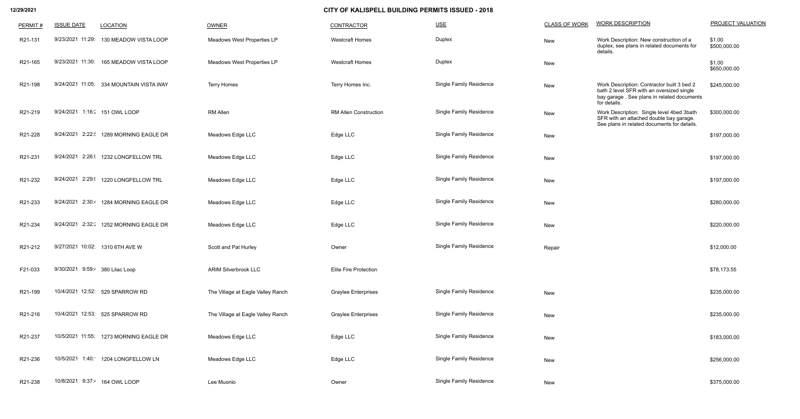| PERMIT# | <b>ISSUE DATE</b>               | <b>LOCATION</b>                         | OWNER                             | <b>CONTRACTOR</b>            | $USE$                          | <b>CLASS OF WORK</b> | <b>WORK DESCRIPTION</b>                                                                                                                               | PROJECT VALUATION      |
|---------|---------------------------------|-----------------------------------------|-----------------------------------|------------------------------|--------------------------------|----------------------|-------------------------------------------------------------------------------------------------------------------------------------------------------|------------------------|
| R21-131 | 9/23/2021 11:29:                | 130 MEADOW VISTA LOOP                   | Meadows West Properties LP        | <b>Westcraft Homes</b>       | Duplex                         | New                  | Work Description: New construction of a<br>duplex, see plans in related documents for<br>details.                                                     | \$1.00<br>\$500,000.00 |
| R21-165 | 9/23/2021 11:30:                | 165 MEADOW VISTA LOOP                   | Meadows West Properties LP        | <b>Westcraft Homes</b>       | <b>Duplex</b>                  | New                  |                                                                                                                                                       | \$1.00<br>\$650,000.00 |
| R21-198 |                                 | 9/24/2021 11:05: 334 MOUNTAIN VISTA WAY | <b>Terry Homes</b>                | Terry Homes Inc.             | Single Family Residence        | New                  | Work Description: Contractor built 3 bed 2<br>bath 2 level SFR with an oversized single<br>bay garage. See plans in related documents<br>for details. | \$245,000.00           |
| R21-219 |                                 | 9/24/2021 1:16: 4151 OWL LOOP           | <b>RM Allen</b>                   | <b>RM Allen Construction</b> | <b>Single Family Residence</b> | New                  | Work Description: Single level 4bed 3bath<br>SFR with an attached double bay garage.<br>See plans in related documents for details.                   | \$300,000.00           |
| R21-228 | 9/24/2021 2:22:                 | 1289 MORNING EAGLE DR                   | Meadows Edge LLC                  | Edge LLC                     | <b>Single Family Residence</b> | New                  |                                                                                                                                                       | \$197,000.00           |
| R21-231 | 9/24/2021 2:26:0                | 1232 LONGFELLOW TRL                     | Meadows Edge LLC                  | Edge LLC                     | <b>Single Family Residence</b> | New                  |                                                                                                                                                       | \$197,000.00           |
| R21-232 | 9/24/2021<br>2:29:0             | 1220 LONGFELLOW TRL                     | Meadows Edge LLC                  | Edge LLC                     | <b>Single Family Residence</b> | New                  |                                                                                                                                                       | \$197,000.00           |
| R21-233 | 9/24/2021                       | 2:30: 1284 MORNING EAGLE DR             | Meadows Edge LLC                  | Edge LLC                     | <b>Single Family Residence</b> | New                  |                                                                                                                                                       | \$280,000.00           |
| R21-234 | 9/24/2021                       | 2:32: 1252 MORNING EAGLE DR             | Meadows Edge LLC                  | Edge LLC                     | <b>Single Family Residence</b> | New                  |                                                                                                                                                       | \$220,000.00           |
| R21-212 |                                 | 9/27/2021 10:02: 1310 6TH AVE W         | Scott and Pat Hurley              | Owner                        | <b>Single Family Residence</b> | Repair               |                                                                                                                                                       | \$12,000.00            |
| F21-033 | 9/30/2021 9:59:4 380 Lilac Loop |                                         | <b>ARIM Silverbrook LLC</b>       | <b>Elite Fire Protection</b> |                                |                      |                                                                                                                                                       | \$78,173.55            |
| R21-199 |                                 | 10/4/2021 12:52: 529 SPARROW RD         | The Village at Eagle Valley Ranch | <b>Graylee Enterprises</b>   | <b>Single Family Residence</b> | New                  |                                                                                                                                                       | \$235,000.00           |
| R21-216 |                                 | 10/4/2021 12:53: 525 SPARROW RD         | The Village at Eagle Valley Ranch | <b>Graylee Enterprises</b>   | <b>Single Family Residence</b> | New                  |                                                                                                                                                       | \$235,000.00           |
| R21-237 |                                 | 10/5/2021 11:55: 1273 MORNING EAGLE DR  | Meadows Edge LLC                  | Edge LLC                     | <b>Single Family Residence</b> | New                  |                                                                                                                                                       | \$183,000.00           |
| R21-236 | 10/5/2021                       | 1:40: 1204 LONGFELLOW LN                | Meadows Edge LLC                  | Edge LLC                     | <b>Single Family Residence</b> | New                  |                                                                                                                                                       | \$256,000.00           |
| R21-238 |                                 | 10/8/2021 9:37:4 164 OWL LOOP           | Lee Muonio                        | Owner                        | <b>Single Family Residence</b> | New                  |                                                                                                                                                       | \$375,000.00           |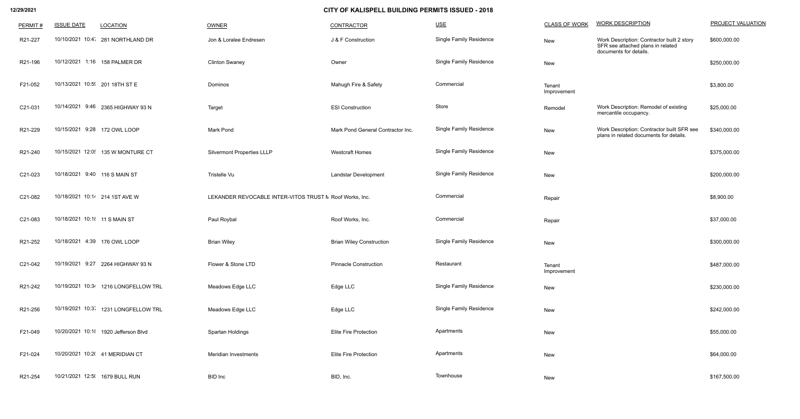| PERMIT# | <b>ISSUE DATE</b>              | <b>LOCATION</b>                      | OWNER                                                   | <b>CONTRACTOR</b>                 | $USE$                          | <b>CLASS OF WORK</b>  | <b>WORK DESCRIPTION</b>                                                                                   | PROJECT VALUATION |
|---------|--------------------------------|--------------------------------------|---------------------------------------------------------|-----------------------------------|--------------------------------|-----------------------|-----------------------------------------------------------------------------------------------------------|-------------------|
| R21-227 |                                | 10/10/2021 10:4 281 NORTHLAND DR     | Jon & Loralee Endresen                                  | J & F Construction                | <b>Single Family Residence</b> | New                   | Work Description: Contractor built 2 story<br>SFR see attached plans in related<br>documents for details. | \$600,000.00      |
| R21-196 |                                | 10/12/2021 1:16 158 PALMER DR        | <b>Clinton Swaney</b>                                   | Owner                             | <b>Single Family Residence</b> | New                   |                                                                                                           | \$250,000.00      |
| F21-052 | 10/13/2021 10:5  201 18TH ST E |                                      | Dominos                                                 | Mahugh Fire & Safety              | Commercial                     | Tenant<br>Improvement |                                                                                                           | \$3,800.00        |
| C21-031 |                                | 10/14/2021 9:46 2365 HIGHWAY 93 N    | Target                                                  | <b>ESI Construction</b>           | Store                          | Remodel               | Work Description: Remodel of existing<br>mercantile occupancy.                                            | \$25,000.00       |
| R21-229 | 10/15/2021 9:28 172 OWL LOOP   |                                      | <b>Mark Pond</b>                                        | Mark Pond General Contractor Inc. | <b>Single Family Residence</b> | New                   | Work Description: Contractor built SFR see<br>plans in related documents for details.                     | \$340,000.00      |
| R21-240 |                                | 10/15/2021 12:0! 135 W MONTURE CT    | <b>Silvermont Properties LLLP</b>                       | <b>Westcraft Homes</b>            | <b>Single Family Residence</b> | New                   |                                                                                                           | \$375,000.00      |
| C21-023 | 10/18/2021 9:40 116 S MAIN ST  |                                      | Tristelle Vu                                            | <b>Landstar Development</b>       | <b>Single Family Residence</b> | New                   |                                                                                                           | \$200,000.00      |
| C21-082 | 10/18/2021 10:14 214 1ST AVE W |                                      | LEKANDER REVOCABLE INTER-VITOS TRUST M Roof Works, Inc. |                                   | Commercial                     | Repair                |                                                                                                           | \$8,900.00        |
| C21-083 | 10/18/2021 10:18 11 S MAIN ST  |                                      | Paul Roybal                                             | Roof Works, Inc.                  | Commercial                     | Repair                |                                                                                                           | \$37,000.00       |
| R21-252 | 10/18/2021 4:39 176 OWL LOOP   |                                      | <b>Brian Wiley</b>                                      | <b>Brian Wiley Construction</b>   | <b>Single Family Residence</b> | New                   |                                                                                                           | \$300,000.00      |
| C21-042 |                                | 10/19/2021 9:27 2264 HIGHWAY 93 N    | Flower & Stone LTD                                      | <b>Pinnacle Construction</b>      | Restaurant                     | Tenant<br>Improvement |                                                                                                           | \$487,000.00      |
| R21-242 |                                | 10/19/2021 10:34 1216 LONGFELLOW TRL | Meadows Edge LLC                                        | Edge LLC                          | <b>Single Family Residence</b> | New                   |                                                                                                           | \$230,000.00      |
| R21-256 |                                | 10/19/2021 10:3 1231 LONGFELLOW TRL  | Meadows Edge LLC                                        | Edge LLC                          | <b>Single Family Residence</b> | New                   |                                                                                                           | \$242,000.00      |
| F21-049 |                                | 10/20/2021 10:18 1920 Jefferson Blvd | Spartan Holdings                                        | <b>Elite Fire Protection</b>      | Apartments                     | New                   |                                                                                                           | \$55,000.00       |
| F21-024 |                                | 10/20/2021 10:2( 41 MERIDIAN CT      | Meridian Investments                                    | <b>Elite Fire Protection</b>      | Apartments                     | New                   |                                                                                                           | \$64,000.00       |
| R21-254 | 10/21/2021 12:5( 1679 BULL RUN |                                      | <b>BID</b> Inc                                          | BID, Inc.                         | Townhouse                      | New                   |                                                                                                           | \$167,500.00      |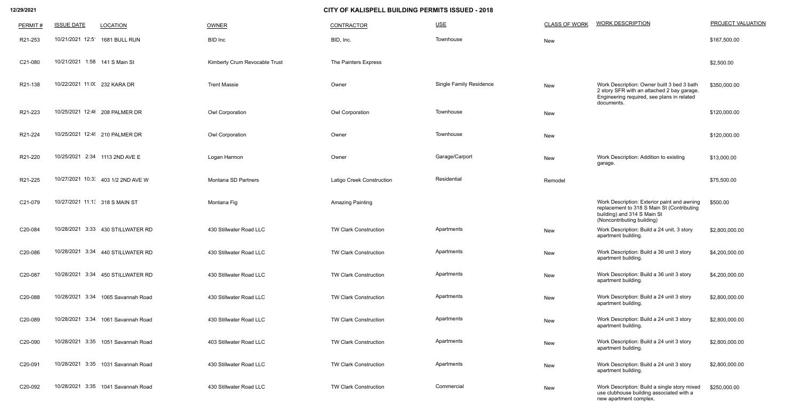| PERMIT# | <b>ISSUE DATE</b>              | <b>LOCATION</b>                    | OWNER                         | <b>CONTRACTOR</b>            | $USE$                          | <b>CLASS OF WORK</b> | <b>WORK DESCRIPTION</b>                                                                                                                                | PROJECT VALUATION |
|---------|--------------------------------|------------------------------------|-------------------------------|------------------------------|--------------------------------|----------------------|--------------------------------------------------------------------------------------------------------------------------------------------------------|-------------------|
| R21-253 | 10/21/2021 12:5                | 1681 BULL RUN                      | <b>BID</b> Inc                | BID, Inc.                    | Townhouse                      | New                  |                                                                                                                                                        | \$167,500.00      |
| C21-080 | 10/21/2021 1:58 141 S Main St  |                                    | Kimberly Crum Revocable Trust | The Painters Express         |                                |                      |                                                                                                                                                        | \$2,500.00        |
| R21-138 | 10/22/2021 11:00 232 KARA DR   |                                    | <b>Trent Massie</b>           | Owner                        | <b>Single Family Residence</b> | New                  | Work Description: Owner built 3 bed 3 bath<br>2 story SFR with an attached 2 bay garage.<br>Engineering required, see plans in related<br>documents.   | \$350,000.00      |
| R21-223 |                                | 10/25/2021 12:46 208 PALMER DR     | Owl Corporation               | Owl Corporation              | Townhouse                      | New                  |                                                                                                                                                        | \$120,000.00      |
| R21-224 |                                | 10/25/2021 12:49 210 PALMER DR     | <b>Owl Corporation</b>        | Owner                        | Townhouse                      | <b>New</b>           |                                                                                                                                                        | \$120,000.00      |
| R21-220 |                                | 10/25/2021 2:34 1113 2ND AVE E     | Logan Harmon                  | Owner                        | Garage/Carport                 | New                  | Work Description: Addition to existing<br>garage.                                                                                                      | \$13,000.00       |
| R21-225 |                                | 10/27/2021 10:3' 403 1/2 2ND AVE W | Montana SD Partners           | Latigo Creek Construction    | Residential                    | Remodel              |                                                                                                                                                        | \$75,500.00       |
| C21-079 | 10/27/2021 11:13 318 S MAIN ST |                                    | Montana Fig                   | <b>Amazing Painting</b>      |                                |                      | Work Description: Exterior paint and awning<br>replacement to 318 S Main St (Contributing<br>building) and 314 S Main St<br>(Noncontributing building) | \$500.00          |
| C20-084 |                                | 10/28/2021 3:33 430 STILLWATER RD  | 430 Stillwater Road LLC       | <b>TW Clark Construction</b> | Apartments                     | New                  | Work Description: Build a 24 unit, 3 story<br>apartment building.                                                                                      | \$2,800,000.00    |
| C20-086 |                                | 10/28/2021 3:34 440 STILLWATER RD  | 430 Stillwater Road LLC       | <b>TW Clark Construction</b> | Apartments                     | New                  | Work Description: Build a 36 unit 3 story<br>apartment building.                                                                                       | \$4,200,000.00    |
| C20-087 |                                | 10/28/2021 3:34 450 STILLWATER RD  | 430 Stillwater Road LLC       | <b>TW Clark Construction</b> | Apartments                     | New                  | Work Description: Build a 36 unit 3 story<br>apartment building.                                                                                       | \$4,200,000.00    |
| C20-088 | 10/28/2021 3:34                | 1065 Savannah Road                 | 430 Stillwater Road LLC       | <b>TW Clark Construction</b> | Apartments                     | New                  | Work Description: Build a 24 unit 3 story<br>apartment building.                                                                                       | \$2,800,000.00    |
| C20-089 | 10/28/2021 3:34                | 1061 Savannah Road                 | 430 Stillwater Road LLC       | <b>TW Clark Construction</b> | Apartments                     | New                  | Work Description: Build a 24 unit 3 story<br>apartment building.                                                                                       | \$2,800,000.00    |
| C20-090 | 10/28/2021 3:35                | 1051 Savannah Road                 | 403 Stillwater Road LLC       | <b>TW Clark Construction</b> | Apartments                     | New                  | Work Description: Build a 24 unit 3 story<br>apartment building.                                                                                       | \$2,800,000.00    |
| C20-091 | 10/28/2021 3:35                | 1031 Savannah Road                 | 430 Stillwater Road LLC       | <b>TW Clark Construction</b> | Apartments                     | New                  | Work Description: Build a 24 unit 3 story<br>apartment building.                                                                                       | \$2,800,000.00    |
| C20-092 |                                | 10/28/2021 3:35 1041 Savannah Road | 430 Stillwater Road LLC       | <b>TW Clark Construction</b> | Commercial                     | New                  | Work Description: Build a single story mixed                                                                                                           | \$250,000.00      |

| <b>CLASS OF WORK</b> | <b>WORK DESCRIPTION</b>                                                                                                                                | PROJECT VALUATI |
|----------------------|--------------------------------------------------------------------------------------------------------------------------------------------------------|-----------------|
| <b>New</b>           |                                                                                                                                                        | \$167,500.00    |
|                      |                                                                                                                                                        | \$2,500.00      |
| <b>New</b>           | Work Description: Owner built 3 bed 3 bath<br>2 story SFR with an attached 2 bay garage.<br>Engineering required, see plans in related<br>documents.   | \$350,000.00    |
| <b>New</b>           |                                                                                                                                                        | \$120,000.00    |
| <b>New</b>           |                                                                                                                                                        | \$120,000.00    |
| <b>New</b>           | Work Description: Addition to existing<br>garage.                                                                                                      | \$13,000.00     |
| Remodel              |                                                                                                                                                        | \$75,500.00     |
|                      | Work Description: Exterior paint and awning<br>replacement to 318 S Main St (Contributing<br>building) and 314 S Main St<br>(Noncontributing building) | \$500.00        |
| <b>New</b>           | Work Description: Build a 24 unit, 3 story<br>apartment building.                                                                                      | \$2,800,000.00  |
| New                  | Work Description: Build a 36 unit 3 story<br>apartment building.                                                                                       | \$4,200,000.00  |
| <b>New</b>           | Work Description: Build a 36 unit 3 story<br>apartment building.                                                                                       | \$4,200,000.00  |
| <b>New</b>           | Work Description: Build a 24 unit 3 story<br>apartment building.                                                                                       | \$2,800,000.00  |
| <b>New</b>           | Work Description: Build a 24 unit 3 story<br>apartment building.                                                                                       | \$2,800,000.00  |
| <b>New</b>           | Work Description: Build a 24 unit 3 story<br>apartment building.                                                                                       | \$2,800,000.00  |
| <b>New</b>           | Work Description: Build a 24 unit 3 story<br>apartment building.                                                                                       | \$2,800,000.00  |
| <b>New</b>           | Work Description: Build a single story mixed<br>use clubhouse building associated with a<br>new apartment complex.                                     | \$250,000.00    |
|                      |                                                                                                                                                        |                 |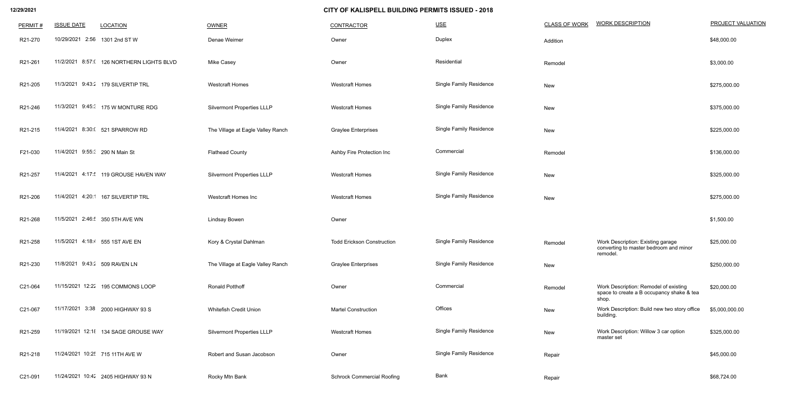| PERMIT# | <b>ISSUE DATE</b>               | <b>LOCATION</b>                           | <b>OWNER</b>                      | <b>CONTRACTOR</b>                 | $USE$                          | <b>CLASS OF WORK</b> | <b>WORK DESCRIPTION</b>                                                                     | <b>PROJECT VALUATION</b> |
|---------|---------------------------------|-------------------------------------------|-----------------------------------|-----------------------------------|--------------------------------|----------------------|---------------------------------------------------------------------------------------------|--------------------------|
| R21-270 | 10/29/2021 2:56 1301 2nd ST W   |                                           | Denae Weimer                      | Owner                             | Duplex                         | Addition             |                                                                                             | \$48,000.00              |
| R21-261 |                                 | 11/2/2021 8:57: (126 NORTHERN LIGHTS BLVD | <b>Mike Casey</b>                 | Owner                             | Residential                    | Remodel              |                                                                                             | \$3,000.00               |
| R21-205 |                                 | 11/3/2021 9:43:2 179 SILVERTIP TRL        | <b>Westcraft Homes</b>            | <b>Westcraft Homes</b>            | <b>Single Family Residence</b> | New                  |                                                                                             | \$275,000.00             |
| R21-246 |                                 | 11/3/2021 9:45: 175 W MONTURE RDG         | <b>Silvermont Properties LLLP</b> | <b>Westcraft Homes</b>            | <b>Single Family Residence</b> | New                  |                                                                                             | \$375,000.00             |
| R21-215 |                                 | 11/4/2021 8:30:( 521 SPARROW RD           | The Village at Eagle Valley Ranch | <b>Graylee Enterprises</b>        | <b>Single Family Residence</b> | New                  |                                                                                             | \$225,000.00             |
| F21-030 | 11/4/2021 9:55: 290 N Main St   |                                           | <b>Flathead County</b>            | Ashby Fire Protection Inc         | Commercial                     | Remodel              |                                                                                             | \$136,000.00             |
| R21-257 |                                 | 11/4/2021 4:17: 119 GROUSE HAVEN WAY      | <b>Silvermont Properties LLLP</b> | <b>Westcraft Homes</b>            | <b>Single Family Residence</b> | New                  |                                                                                             | \$325,000.00             |
| R21-206 | 11/4/2021 4:20:1                | 167 SILVERTIP TRL                         | <b>Westcraft Homes Inc</b>        | <b>Westcraft Homes</b>            | <b>Single Family Residence</b> | New                  |                                                                                             | \$275,000.00             |
| R21-268 |                                 | 11/5/2021 2:46: 350 5TH AVE WN            | <b>Lindsay Bowen</b>              | Owner                             |                                |                      |                                                                                             | \$1,500.00               |
| R21-258 | 11/5/2021 4:18:4 555 1ST AVE EN |                                           | Kory & Crystal Dahlman            | <b>Todd Erickson Construction</b> | <b>Single Family Residence</b> | Remodel              | Work Description: Existing garage<br>converting to master bedroom and minor<br>remodel.     | \$25,000.00              |
| R21-230 | 11/8/2021 9:43:2 509 RAVEN LN   |                                           | The Village at Eagle Valley Ranch | <b>Graylee Enterprises</b>        | <b>Single Family Residence</b> | New                  |                                                                                             | \$250,000.00             |
| C21-064 |                                 | 11/15/2021 12:22 195 COMMONS LOOP         | <b>Ronald Potthoff</b>            | Owner                             | Commercial                     | Remodel              | Work Description: Remodel of existing<br>space to create a B occupancy shake & tea<br>shop. | \$20,000.00              |
| C21-067 |                                 | 11/17/2021 3:38 2000 HIGHWAY 93 S         | Whitefish Credit Union            | <b>Martel Construction</b>        | Offices                        | New                  | Work Description: Build new two story office<br>building.                                   | \$5,000,000.00           |
| R21-259 |                                 | 11/19/2021 12:18 134 SAGE GROUSE WAY      | <b>Silvermont Properties LLLP</b> | <b>Westcraft Homes</b>            | <b>Single Family Residence</b> | New                  | Work Description: Willow 3 car option<br>master set                                         | \$325,000.00             |
| R21-218 |                                 | 11/24/2021 10:25 715 11TH AVE W           | Robert and Susan Jacobson         | Owner                             | <b>Single Family Residence</b> | Repair               |                                                                                             | \$45,000.00              |
| C21-091 |                                 | 11/24/2021 10:42 2405 HIGHWAY 93 N        | Rocky Mtn Bank                    | <b>Schrock Commercial Roofing</b> | Bank                           | Repair               |                                                                                             | \$68,724.00              |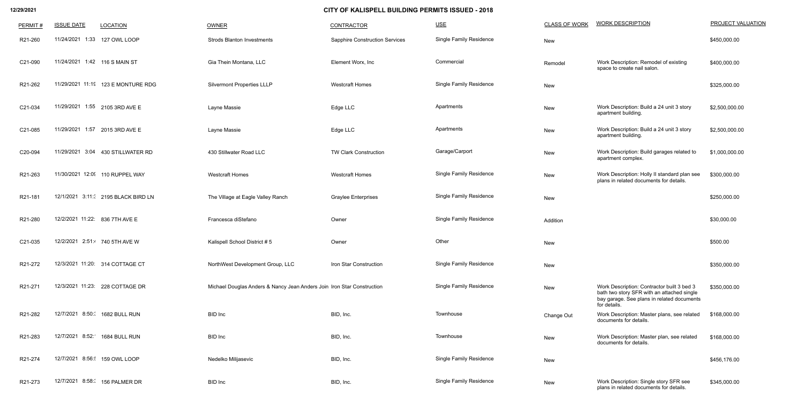| PERMIT# | <b>ISSUE DATE</b>             | <b>LOCATION</b>                    | <b>OWNER</b>                                                           | <b>CONTRACTOR</b>                     | $USE$                          | <b>CLASS OF WORK</b> | <b>WORK DESCRIPTION</b>                                                                                                                                | PROJECT VALUATION |
|---------|-------------------------------|------------------------------------|------------------------------------------------------------------------|---------------------------------------|--------------------------------|----------------------|--------------------------------------------------------------------------------------------------------------------------------------------------------|-------------------|
| R21-260 |                               | 11/24/2021 1:33 127 OWL LOOP       | <b>Strods Blanton Investments</b>                                      | <b>Sapphire Construction Services</b> | <b>Single Family Residence</b> | New                  |                                                                                                                                                        | \$450,000.00      |
| C21-090 | 11/24/2021 1:42 116 S MAIN ST |                                    | Gia Thein Montana, LLC                                                 | Element Worx, Inc.                    | Commercial                     | Remodel              | Work Description: Remodel of existing<br>space to create nail salon.                                                                                   | \$400,000.00      |
| R21-262 |                               | 11/29/2021 11:19 123 E MONTURE RDG | <b>Silvermont Properties LLLP</b>                                      | <b>Westcraft Homes</b>                | <b>Single Family Residence</b> | New                  |                                                                                                                                                        | \$325,000.00      |
| C21-034 |                               | 11/29/2021 1:55 2105 3RD AVE E     | Layne Massie                                                           | Edge LLC                              | Apartments                     | New                  | Work Description: Build a 24 unit 3 story<br>apartment building.                                                                                       | \$2,500,000.00    |
| C21-085 | 11/29/2021 1:57               | 2015 3RD AVE E                     | Layne Massie                                                           | Edge LLC                              | Apartments                     | New                  | Work Description: Build a 24 unit 3 story<br>apartment building.                                                                                       | \$2,500,000.00    |
| C20-094 |                               | 11/29/2021 3:04 430 STILLWATER RD  | 430 Stillwater Road LLC                                                | <b>TW Clark Construction</b>          | Garage/Carport                 | New                  | Work Description: Build garages related to<br>apartment complex.                                                                                       | \$1,000,000.00    |
| R21-263 |                               | 11/30/2021 12:09 110 RUPPEL WAY    | <b>Westcraft Homes</b>                                                 | <b>Westcraft Homes</b>                | <b>Single Family Residence</b> | New                  | Work Description: Holly II standard plan see<br>plans in related documents for details.                                                                | \$300,000.00      |
| R21-181 |                               | 12/1/2021 3:11: 2195 BLACK BIRD LN | The Village at Eagle Valley Ranch                                      | <b>Graylee Enterprises</b>            | <b>Single Family Residence</b> | New                  |                                                                                                                                                        | \$250,000.00      |
| R21-280 |                               | 12/2/2021 11:22: 836 7TH AVE E     | Francesca diStefano                                                    | Owner                                 | <b>Single Family Residence</b> | Addition             |                                                                                                                                                        | \$30,000.00       |
| C21-035 |                               | 12/2/2021 2:51: 740 5TH AVE W      | Kalispell School District #5                                           | Owner                                 | Other                          | New                  |                                                                                                                                                        | \$500.00          |
| R21-272 |                               | 12/3/2021 11:20: 314 COTTAGE CT    | NorthWest Development Group, LLC                                       | Iron Star Construction                | <b>Single Family Residence</b> | New                  |                                                                                                                                                        | \$350,000.00      |
| R21-271 |                               | 12/3/2021 11:23: 228 COTTAGE DR    | Michael Douglas Anders & Nancy Jean Anders Join Iron Star Construction |                                       | <b>Single Family Residence</b> | New                  | Work Description: Contractor built 3 bed 3<br>bath two story SFR with an attached single<br>bay garage. See plans in related documents<br>for details. | \$350,000.00      |
| R21-282 |                               | 12/7/2021 8:50: 1682 BULL RUN      | <b>BID</b> Inc                                                         | BID, Inc.                             | Townhouse                      | Change Out           | Work Description: Master plans, see related<br>documents for details.                                                                                  | \$168,000.00      |
| R21-283 |                               | 12/7/2021 8:52: 1684 BULL RUN      | <b>BID</b> Inc                                                         | BID, Inc.                             | Townhouse                      | New                  | Work Description: Master plan, see related<br>documents for details.                                                                                   | \$168,000.00      |
| R21-274 |                               | 12/7/2021 8:56: 159 OWL LOOP       | Nedelko Milijasevic                                                    | BID, Inc.                             | <b>Single Family Residence</b> | New                  |                                                                                                                                                        | \$456,176.00      |
| R21-273 |                               | 12/7/2021 8:58:( 156 PALMER DR     | <b>BID</b> Inc                                                         | BID, Inc.                             | <b>Single Family Residence</b> | New                  | Work Description: Single story SFR see<br>plans in related documents for details.                                                                      | \$345,000.00      |